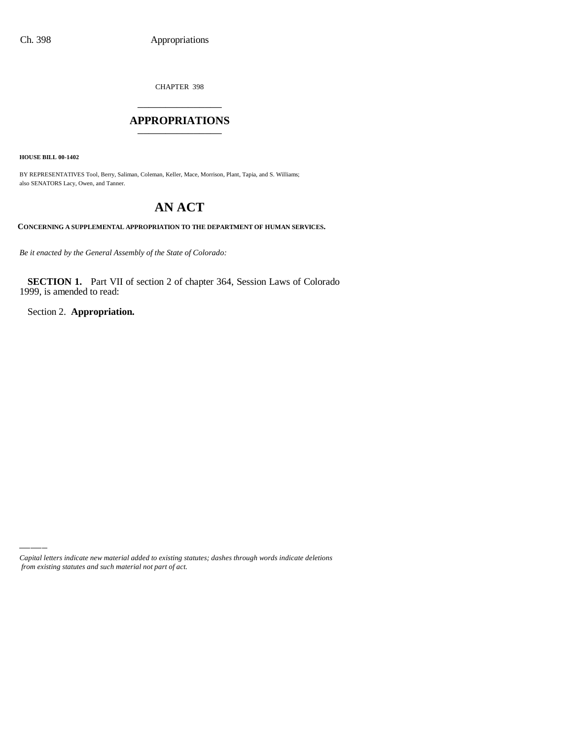CHAPTER 398 \_\_\_\_\_\_\_\_\_\_\_\_\_\_\_

### **APPROPRIATIONS** \_\_\_\_\_\_\_\_\_\_\_\_\_\_\_

**HOUSE BILL 00-1402**

BY REPRESENTATIVES Tool, Berry, Saliman, Coleman, Keller, Mace, Morrison, Plant, Tapia, and S. Williams; also SENATORS Lacy, Owen, and Tanner.

# **AN ACT**

**CONCERNING A SUPPLEMENTAL APPROPRIATION TO THE DEPARTMENT OF HUMAN SERVICES.**

*Be it enacted by the General Assembly of the State of Colorado:*

**SECTION 1.** Part VII of section 2 of chapter 364, Session Laws of Colorado 1999, is amended to read:

Section 2. **Appropriation.**

*Capital letters indicate new material added to existing statutes; dashes through words indicate deletions from existing statutes and such material not part of act.*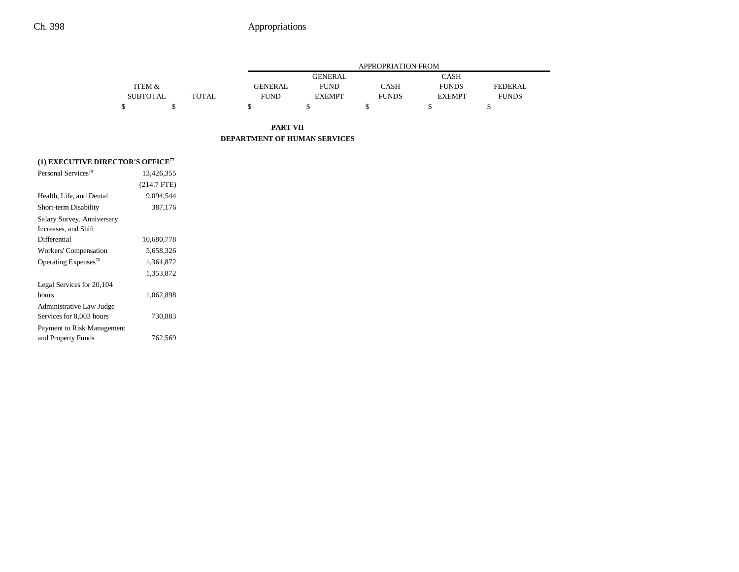|                 |       |             | APPROPRIATION FROM |              |               |              |  |  |  |
|-----------------|-------|-------------|--------------------|--------------|---------------|--------------|--|--|--|
|                 |       |             | <b>GENERAL</b>     |              | <b>CASH</b>   |              |  |  |  |
| ITEM &          |       | GENERAL     | <b>FUND</b>        | <b>CASH</b>  | <b>FUNDS</b>  | FEDERAL.     |  |  |  |
| <b>SUBTOTAL</b> | TOTAL | <b>FUND</b> | <b>EXEMPT</b>      | <b>FUNDS</b> | <b>EXEMPT</b> | <b>FUNDS</b> |  |  |  |
|                 |       |             |                    |              |               |              |  |  |  |

**PART VII DEPARTMENT OF HUMAN SERVICES**

| (1) EXECUTIVE DIRECTOR'S OFFICE <sup>77</sup> |                      |  |
|-----------------------------------------------|----------------------|--|
| Personal Services <sup>78</sup>               | 13,426,355           |  |
|                                               | $(214.7$ FTE)        |  |
| Health, Life, and Dental                      | 9.094.544            |  |
| Short-term Disability                         | 387,176              |  |
| Salary Survey, Anniversary                    |                      |  |
| Increases, and Shift                          |                      |  |
| Differential                                  | 10,680,778           |  |
| Workers' Compensation                         | 5,658,326            |  |
| Operating Expenses <sup>78</sup>              | <del>1,361,872</del> |  |
|                                               | 1,353,872            |  |
| Legal Services for 20,104                     |                      |  |
| hours                                         | 1,062,898            |  |
| Administrative Law Judge                      |                      |  |
| Services for 8,003 hours                      | 730,883              |  |
| Payment to Risk Management                    |                      |  |
| and Property Funds                            | 762,569              |  |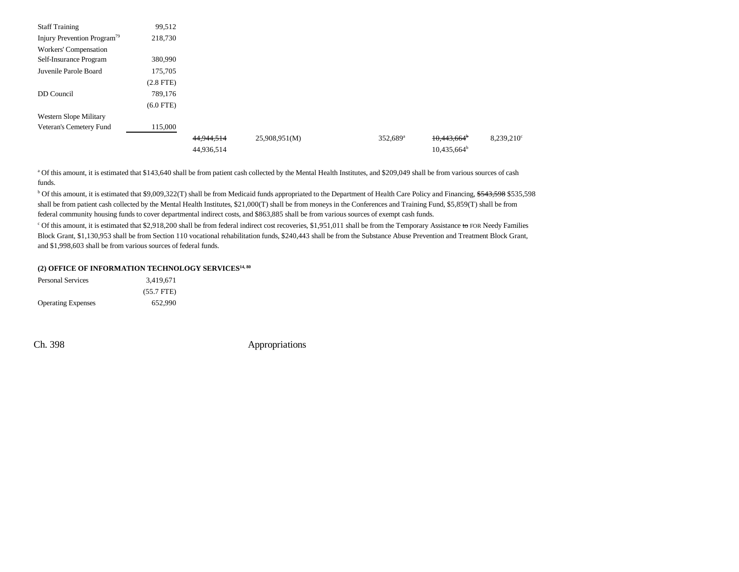| <b>Staff Training</b>                   | 99,512         |            |               |                        |                           |                     |
|-----------------------------------------|----------------|------------|---------------|------------------------|---------------------------|---------------------|
| Injury Prevention Program <sup>79</sup> | 218,730        |            |               |                        |                           |                     |
| Workers' Compensation                   |                |            |               |                        |                           |                     |
| Self-Insurance Program                  | 380,990        |            |               |                        |                           |                     |
| Juvenile Parole Board                   | 175,705        |            |               |                        |                           |                     |
|                                         | $(2.8$ FTE $)$ |            |               |                        |                           |                     |
| DD Council                              | 789,176        |            |               |                        |                           |                     |
|                                         | $(6.0$ FTE)    |            |               |                        |                           |                     |
| Western Slope Military                  |                |            |               |                        |                           |                     |
| Veteran's Cemetery Fund                 | 115,000        |            |               |                        |                           |                     |
|                                         |                | 44,944,514 | 25,908,951(M) | $352,689$ <sup>a</sup> | $10,443,664$ <sup>b</sup> | $8,239,210^{\circ}$ |
|                                         |                | 44,936,514 |               |                        | $10,435,664^b$            |                     |

<sup>a</sup> Of this amount, it is estimated that \$143,640 shall be from patient cash collected by the Mental Health Institutes, and \$209,049 shall be from various sources of cash funds.

<sup>b</sup> Of this amount, it is estimated that \$9,009,322(T) shall be from Medicaid funds appropriated to the Department of Health Care Policy and Financing, \$543,598 \$535,598 shall be from patient cash collected by the Mental Health Institutes, \$21,000(T) shall be from moneys in the Conferences and Training Fund, \$5,859(T) shall be from federal community housing funds to cover departmental indirect costs, and \$863,885 shall be from various sources of exempt cash funds.

<sup>c</sup> Of this amount, it is estimated that \$2,918,200 shall be from federal indirect cost recoveries, \$1,951,011 shall be from the Temporary Assistance to FOR Needy Families Block Grant, \$1,130,953 shall be from Section 110 vocational rehabilitation funds, \$240,443 shall be from the Substance Abuse Prevention and Treatment Block Grant, and \$1,998,603 shall be from various sources of federal funds.

### **(2) OFFICE OF INFORMATION TECHNOLOGY SERVICES14, 80**

| <b>Personal Services</b>  | 3.419.671    |
|---------------------------|--------------|
|                           | $(55.7$ FTE) |
| <b>Operating Expenses</b> | 652.990      |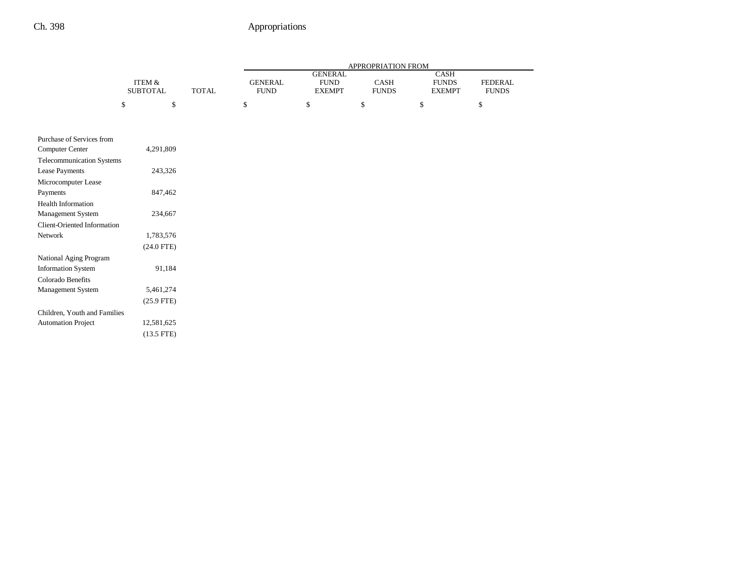|                                    |                   |              | APPROPRIATION FROM |                |              |               |                |  |
|------------------------------------|-------------------|--------------|--------------------|----------------|--------------|---------------|----------------|--|
|                                    |                   |              |                    | <b>GENERAL</b> |              | CASH          |                |  |
|                                    | <b>ITEM &amp;</b> | <b>TOTAL</b> | <b>GENERAL</b>     | <b>FUND</b>    | CASH         | <b>FUNDS</b>  | <b>FEDERAL</b> |  |
|                                    | <b>SUBTOTAL</b>   |              | <b>FUND</b>        | <b>EXEMPT</b>  | <b>FUNDS</b> | <b>EXEMPT</b> | <b>FUNDS</b>   |  |
|                                    | \$<br>\$          |              | \$                 | \$             | \$           | \$            | \$             |  |
|                                    |                   |              |                    |                |              |               |                |  |
| Purchase of Services from          |                   |              |                    |                |              |               |                |  |
| <b>Computer Center</b>             | 4,291,809         |              |                    |                |              |               |                |  |
| Telecommunication Systems          |                   |              |                    |                |              |               |                |  |
| Lease Payments                     | 243,326           |              |                    |                |              |               |                |  |
| Microcomputer Lease                |                   |              |                    |                |              |               |                |  |
| Payments                           | 847,462           |              |                    |                |              |               |                |  |
| <b>Health Information</b>          |                   |              |                    |                |              |               |                |  |
| Management System                  | 234,667           |              |                    |                |              |               |                |  |
| <b>Client-Oriented Information</b> |                   |              |                    |                |              |               |                |  |
| Network                            | 1,783,576         |              |                    |                |              |               |                |  |
|                                    | $(24.0$ FTE)      |              |                    |                |              |               |                |  |
| National Aging Program             |                   |              |                    |                |              |               |                |  |
| <b>Information System</b>          | 91,184            |              |                    |                |              |               |                |  |
| Colorado Benefits                  |                   |              |                    |                |              |               |                |  |
| Management System                  | 5,461,274         |              |                    |                |              |               |                |  |
|                                    | $(25.9$ FTE)      |              |                    |                |              |               |                |  |
| Children, Youth and Families       |                   |              |                    |                |              |               |                |  |
| <b>Automation Project</b>          | 12,581,625        |              |                    |                |              |               |                |  |
|                                    | $(13.5$ FTE)      |              |                    |                |              |               |                |  |
|                                    |                   |              |                    |                |              |               |                |  |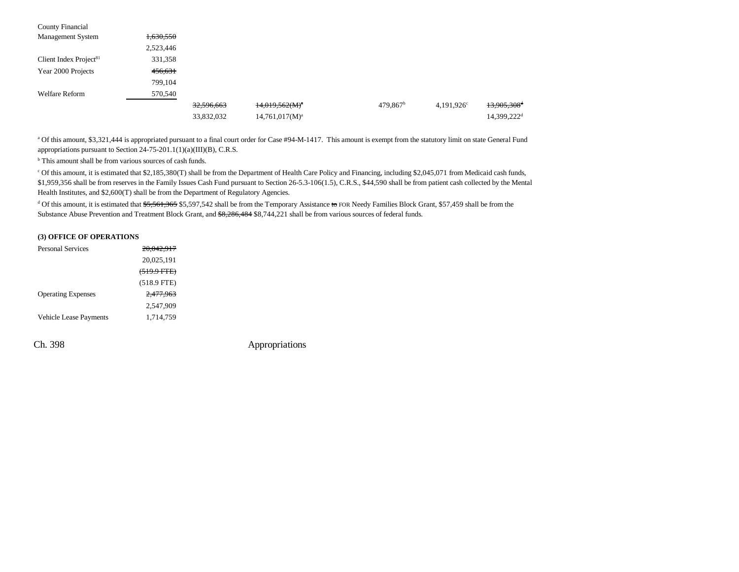| <b>County Financial</b>   |           |            |                     |                      |                     |                           |
|---------------------------|-----------|------------|---------------------|----------------------|---------------------|---------------------------|
| <b>Management System</b>  | 1,630,550 |            |                     |                      |                     |                           |
|                           | 2,523,446 |            |                     |                      |                     |                           |
| Client Index Project $81$ | 331,358   |            |                     |                      |                     |                           |
| Year 2000 Projects        | 456,631   |            |                     |                      |                     |                           |
|                           | 799,104   |            |                     |                      |                     |                           |
| <b>Welfare Reform</b>     | 570,540   |            |                     |                      |                     |                           |
|                           |           | 32,596,663 | $14,019,562(M)^{a}$ | 479,867 <sup>b</sup> | $4,191,926^{\circ}$ | $13,905,308$ <sup>d</sup> |
|                           |           | 33,832,032 | $14,761,017(M)^a$   |                      |                     | 14,399,222 <sup>d</sup>   |

<sup>a</sup> Of this amount, \$3,321,444 is appropriated pursuant to a final court order for Case #94-M-1417. This amount is exempt from the statutory limit on state General Fund appropriations pursuant to Section 24-75-201.1(1)(a)(III)(B), C.R.S.

<sup>b</sup> This amount shall be from various sources of cash funds.

c Of this amount, it is estimated that \$2,185,380(T) shall be from the Department of Health Care Policy and Financing, including \$2,045,071 from Medicaid cash funds, \$1,959,356 shall be from reserves in the Family Issues Cash Fund pursuant to Section 26-5.3-106(1.5), C.R.S., \$44,590 shall be from patient cash collected by the Mental Health Institutes, and \$2,600(T) shall be from the Department of Regulatory Agencies.

<sup>d</sup> Of this amount, it is estimated that \$5,561,365 \$5,597,542 shall be from the Temporary Assistance to FOR Needy Families Block Grant, \$57,459 shall be from the Substance Abuse Prevention and Treatment Block Grant, and \$8,286,484 \$8,744,221 shall be from various sources of federal funds.

#### **(3) OFFICE OF OPERATIONS**

| <b>Personal Services</b>      | <del>20,042,917</del>  |
|-------------------------------|------------------------|
|                               | 20,025,191             |
|                               | <del>(519.9 FTE)</del> |
|                               | $(518.9$ FTE)          |
| <b>Operating Expenses</b>     | 2.477.963              |
|                               | 2.547.909              |
| <b>Vehicle Lease Payments</b> | 1,714,759              |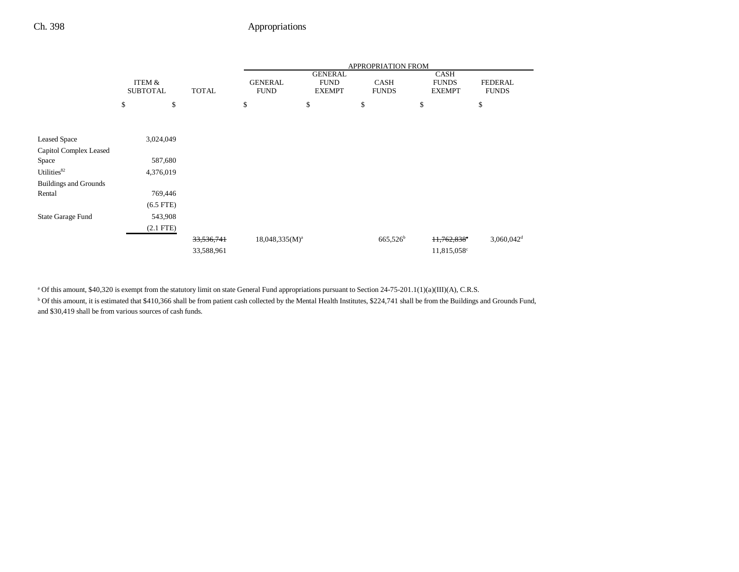|                              |                 |              | APPROPRIATION FROM  |                |                   |                           |                          |
|------------------------------|-----------------|--------------|---------------------|----------------|-------------------|---------------------------|--------------------------|
|                              |                 |              |                     | <b>GENERAL</b> |                   | <b>CASH</b>               |                          |
|                              | ITEM &          |              | <b>GENERAL</b>      | <b>FUND</b>    | <b>CASH</b>       | <b>FUNDS</b>              | <b>FEDERAL</b>           |
|                              | <b>SUBTOTAL</b> | <b>TOTAL</b> | <b>FUND</b>         | <b>EXEMPT</b>  | <b>FUNDS</b>      | <b>EXEMPT</b>             | <b>FUNDS</b>             |
|                              | \$<br>\$        |              | \$                  | \$             | \$                | \$                        | \$                       |
|                              |                 |              |                     |                |                   |                           |                          |
|                              |                 |              |                     |                |                   |                           |                          |
| <b>Leased Space</b>          | 3,024,049       |              |                     |                |                   |                           |                          |
| Capitol Complex Leased       |                 |              |                     |                |                   |                           |                          |
| Space                        | 587,680         |              |                     |                |                   |                           |                          |
| Utilities <sup>82</sup>      | 4,376,019       |              |                     |                |                   |                           |                          |
| <b>Buildings and Grounds</b> |                 |              |                     |                |                   |                           |                          |
| Rental                       | 769,446         |              |                     |                |                   |                           |                          |
|                              | $(6.5$ FTE $)$  |              |                     |                |                   |                           |                          |
| State Garage Fund            | 543,908         |              |                     |                |                   |                           |                          |
|                              | $(2.1$ FTE $)$  |              |                     |                |                   |                           |                          |
|                              |                 | 33,536,741   | $18,048,335(M)^{a}$ |                | $665,526^{\rm b}$ | $+1,762,838$ <sup>c</sup> | $3,060,042$ <sup>d</sup> |
|                              |                 | 33,588,961   |                     |                |                   | 11,815,058 <sup>c</sup>   |                          |

<sup>a</sup> Of this amount, \$40,320 is exempt from the statutory limit on state General Fund appropriations pursuant to Section 24-75-201.1(1)(a)(III)(A), C.R.S.

<sup>b</sup> Of this amount, it is estimated that \$410,366 shall be from patient cash collected by the Mental Health Institutes, \$224,741 shall be from the Buildings and Grounds Fund, and \$30,419 shall be from various sources of cash funds.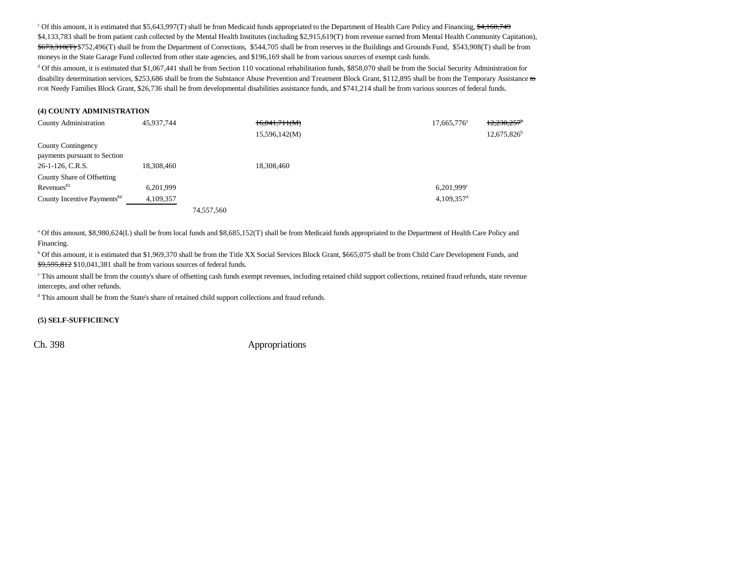<sup>c</sup> Of this amount, it is estimated that \$5,643,997(T) shall be from Medicaid funds appropriated to the Department of Health Care Policy and Financing, \$4,160,749 \$4,133,783 shall be from patient cash collected by the Mental Health Institutes (including \$2,915,619(T) from revenue earned from Mental Health Community Capitation),  $$673,310$ (T) \$752,496(T) shall be from the Department of Corrections, \$544,705 shall be from reserves in the Buildings and Grounds Fund, \$543,908(T) shall be from moneys in the State Garage Fund collected from other state agencies, and \$196,169 shall be from various sources of exempt cash funds.

<sup>d</sup> Of this amount, it is estimated that \$1,067,441 shall be from Section 110 vocational rehabilitation funds, \$858,070 shall be from the Social Security Administration for disability determination services, \$253,686 shall be from the Substance Abuse Prevention and Treatment Block Grant, \$112,895 shall be from the Temporary Assistance to FOR Needy Families Block Grant, \$26,736 shall be from developmental disabilities assistance funds, and \$741,214 shall be from various sources of federal funds.

#### **(4) COUNTY ADMINISTRATION**

| <b>County Administration</b>            | 45,937,744 |            | 16,041,711(M) | $17,665,776^{\circ}$     | 12,230,257     |
|-----------------------------------------|------------|------------|---------------|--------------------------|----------------|
|                                         |            |            | 15,596,142(M) |                          | $12,675,826^b$ |
| County Contingency                      |            |            |               |                          |                |
| payments pursuant to Section            |            |            |               |                          |                |
| 26-1-126, C.R.S.                        | 18,308,460 |            | 18,308,460    |                          |                |
| County Share of Offsetting              |            |            |               |                          |                |
| Revenues <sup>83</sup>                  | 6.201.999  |            |               | 6.201.999c               |                |
| County Incentive Payments <sup>84</sup> | 4,109,357  |            |               | $4,109,357$ <sup>d</sup> |                |
|                                         |            | 74.557.560 |               |                          |                |

<sup>a</sup> Of this amount, \$8,980,624(L) shall be from local funds and \$8,685,152(T) shall be from Medicaid funds appropriated to the Department of Health Care Policy and Financing.

b Of this amount, it is estimated that \$1,969,370 shall be from the Title XX Social Services Block Grant, \$665,075 shall be from Child Care Development Funds, and \$9,595,812 \$10,041,381 shall be from various sources of federal funds.

<sup>c</sup> This amount shall be from the county's share of offsetting cash funds exempt revenues, including retained child support collections, retained fraud refunds, state revenue intercepts, and other refunds.

d This amount shall be from the State's share of retained child support collections and fraud refunds.

#### **(5) SELF-SUFFICIENCY**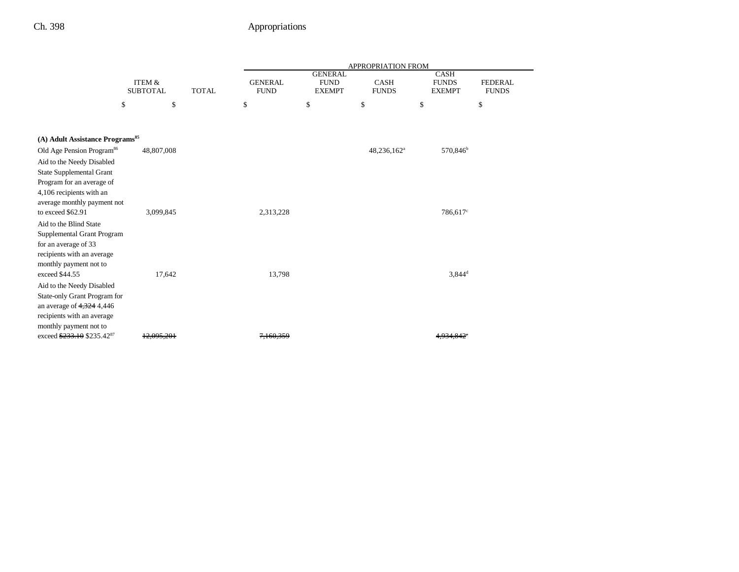|                                                  |                                      |              |                               |                                                | <b>APPROPRIATION FROM</b>   |                                              |                                |
|--------------------------------------------------|--------------------------------------|--------------|-------------------------------|------------------------------------------------|-----------------------------|----------------------------------------------|--------------------------------|
|                                                  | <b>ITEM &amp;</b><br><b>SUBTOTAL</b> | <b>TOTAL</b> | <b>GENERAL</b><br><b>FUND</b> | <b>GENERAL</b><br><b>FUND</b><br><b>EXEMPT</b> | <b>CASH</b><br><b>FUNDS</b> | <b>CASH</b><br><b>FUNDS</b><br><b>EXEMPT</b> | <b>FEDERAL</b><br><b>FUNDS</b> |
|                                                  | \$<br>\$                             |              | \$                            | \$                                             | \$                          | \$                                           | \$                             |
|                                                  |                                      |              |                               |                                                |                             |                                              |                                |
| (A) Adult Assistance Programs <sup>85</sup>      |                                      |              |                               |                                                |                             |                                              |                                |
| Old Age Pension Program <sup>86</sup>            | 48,807,008                           |              |                               |                                                | 48,236,162 <sup>a</sup>     | 570,846 <sup>b</sup>                         |                                |
| Aid to the Needy Disabled                        |                                      |              |                               |                                                |                             |                                              |                                |
| <b>State Supplemental Grant</b>                  |                                      |              |                               |                                                |                             |                                              |                                |
| Program for an average of                        |                                      |              |                               |                                                |                             |                                              |                                |
| 4,106 recipients with an                         |                                      |              |                               |                                                |                             |                                              |                                |
| average monthly payment not<br>to exceed \$62.91 | 3,099,845                            |              | 2,313,228                     |                                                |                             | 786,617 <sup>c</sup>                         |                                |
| Aid to the Blind State                           |                                      |              |                               |                                                |                             |                                              |                                |
| Supplemental Grant Program                       |                                      |              |                               |                                                |                             |                                              |                                |
| for an average of 33                             |                                      |              |                               |                                                |                             |                                              |                                |
| recipients with an average                       |                                      |              |                               |                                                |                             |                                              |                                |
| monthly payment not to                           |                                      |              |                               |                                                |                             |                                              |                                |
| exceed \$44.55                                   | 17,642                               |              | 13,798                        |                                                |                             | $3,844^d$                                    |                                |
| Aid to the Needy Disabled                        |                                      |              |                               |                                                |                             |                                              |                                |
| State-only Grant Program for                     |                                      |              |                               |                                                |                             |                                              |                                |
| an average of $4,324$ 4,446                      |                                      |              |                               |                                                |                             |                                              |                                |
| recipients with an average                       |                                      |              |                               |                                                |                             |                                              |                                |
| monthly payment not to                           |                                      |              |                               |                                                |                             |                                              |                                |
| exceed \$233.10 \$235.42 <sup>87</sup>           |                                      |              |                               |                                                |                             |                                              |                                |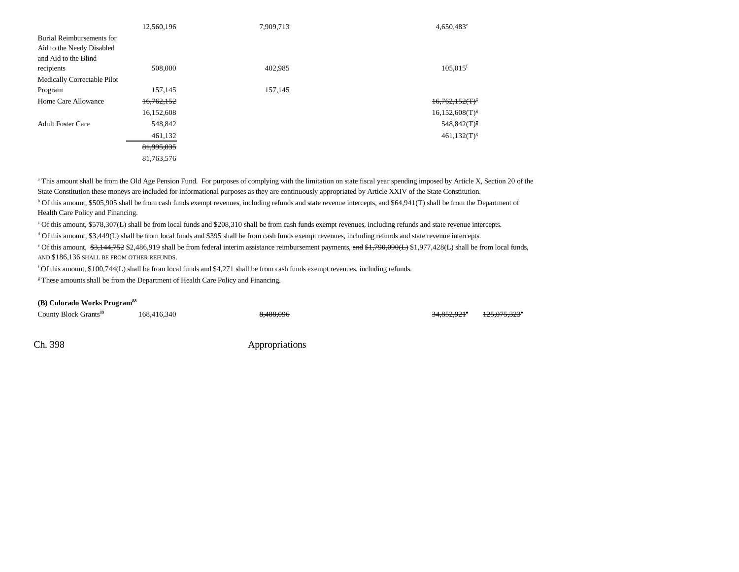|                             | 12,560,196 | 7,909,713 | $4,650,483^e$                 |
|-----------------------------|------------|-----------|-------------------------------|
| Burial Reimbursements for   |            |           |                               |
| Aid to the Needy Disabled   |            |           |                               |
| and Aid to the Blind        |            |           |                               |
| recipients                  | 508,000    | 402,985   | $105,015$ <sup>f</sup>        |
| Medically Correctable Pilot |            |           |                               |
| Program                     | 157,145    | 157,145   |                               |
| Home Care Allowance         | 16,762,152 |           | $16,762,152$ (T) <sup>8</sup> |
|                             | 16,152,608 |           | $16,152,608(T)^{g}$           |
| <b>Adult Foster Care</b>    | 548,842    |           | 548,842(T) <sup>8</sup>       |
|                             | 461,132    |           | $461,132(T)^{g}$              |
|                             | 81,995,835 |           |                               |
|                             | 81,763,576 |           |                               |

<sup>a</sup> This amount shall be from the Old Age Pension Fund. For purposes of complying with the limitation on state fiscal year spending imposed by Article X, Section 20 of the State Constitution these moneys are included for informational purposes as they are continuously appropriated by Article XXIV of the State Constitution. b Of this amount, \$505,905 shall be from cash funds exempt revenues, including refunds and state revenue intercepts, and \$64,941(T) shall be from the Department of

Health Care Policy and Financing.

c Of this amount, \$578,307(L) shall be from local funds and \$208,310 shall be from cash funds exempt revenues, including refunds and state revenue intercepts.

d Of this amount, \$3,449(L) shall be from local funds and \$395 shall be from cash funds exempt revenues, including refunds and state revenue intercepts.

<sup>e</sup> Of this amount, \$3,144,752 \$2,486,919 shall be from federal interim assistance reimbursement payments, and \$1,790,090(L) \$1,977,428(L) shall be from local funds, AND \$186,136 SHALL BE FROM OTHER REFUNDS.

f Of this amount, \$100,744(L) shall be from local funds and \$4,271 shall be from cash funds exempt revenues, including refunds.

<sup>g</sup> These amounts shall be from the Department of Health Care Policy and Financing.

### **(B) Colorado Works Program88**

County Block Grants<sup>89</sup> 168,416,340 8,488,096 8,488,096 34,852,921<sup>a</sup> 125,075,323<sup>b</sup>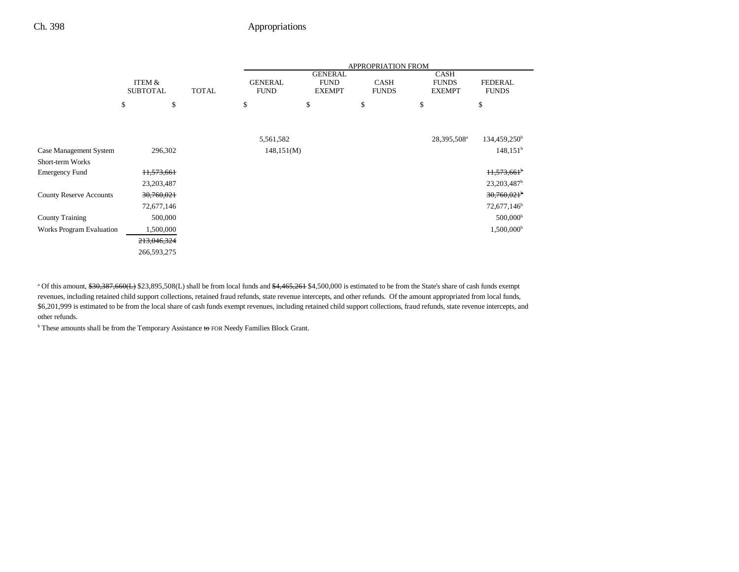|                                 |                 |              | APPROPRIATION FROM |                               |              |                             |                         |
|---------------------------------|-----------------|--------------|--------------------|-------------------------------|--------------|-----------------------------|-------------------------|
|                                 | ITEM &          |              | <b>GENERAL</b>     | <b>GENERAL</b><br><b>FUND</b> | <b>CASH</b>  | <b>CASH</b><br><b>FUNDS</b> | <b>FEDERAL</b>          |
|                                 | <b>SUBTOTAL</b> | <b>TOTAL</b> | <b>FUND</b>        | <b>EXEMPT</b>                 | <b>FUNDS</b> | <b>EXEMPT</b>               | <b>FUNDS</b>            |
|                                 | \$              | \$           | \$                 | \$                            | \$           | \$                          | \$                      |
|                                 |                 |              |                    |                               |              |                             |                         |
|                                 |                 |              | 5,561,582          |                               |              | 28,395,508 <sup>a</sup>     | $134,459,250^{\rm b}$   |
| Case Management System          | 296,302         |              | 148,151(M)         |                               |              |                             | $148,151^b$             |
| <b>Short-term Works</b>         |                 |              |                    |                               |              |                             |                         |
| <b>Emergency Fund</b>           | 11,573,661      |              |                    |                               |              |                             | 11,573,661 <sup>b</sup> |
|                                 | 23, 203, 487    |              |                    |                               |              |                             | 23,203,487 <sup>b</sup> |
| <b>County Reserve Accounts</b>  | 30,760,021      |              |                    |                               |              |                             | 30,760,021              |
|                                 | 72,677,146      |              |                    |                               |              |                             | 72,677,146 <sup>b</sup> |
| <b>County Training</b>          | 500,000         |              |                    |                               |              |                             | 500,000 <sup>b</sup>    |
| <b>Works Program Evaluation</b> | 1,500,000       |              |                    |                               |              |                             | $1,500,000^{\rm b}$     |
|                                 | 213,046,324     |              |                    |                               |              |                             |                         |
|                                 | 266,593,275     |              |                    |                               |              |                             |                         |

<sup>a</sup> Of this amount, \$30,387,660(L) \$23,895,508(L) shall be from local funds and \$4,465,261 \$4,500,000 is estimated to be from the State's share of cash funds exempt revenues, including retained child support collections, retained fraud refunds, state revenue intercepts, and other refunds. Of the amount appropriated from local funds, \$6,201,999 is estimated to be from the local share of cash funds exempt revenues, including retained child support collections, fraud refunds, state revenue intercepts, and other refunds.

 $b$  These amounts shall be from the Temporary Assistance to FOR Needy Families Block Grant.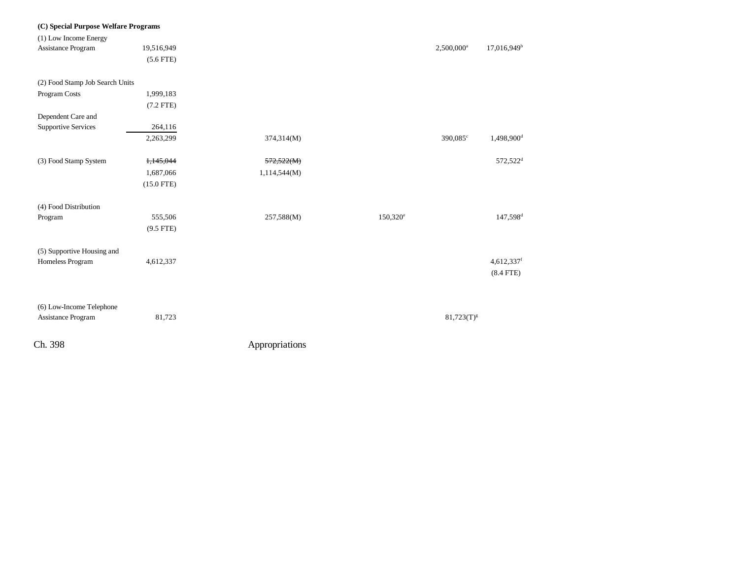| Ch. 398                                                       |                                        | Appropriations             |                   |                        |                                                |
|---------------------------------------------------------------|----------------------------------------|----------------------------|-------------------|------------------------|------------------------------------------------|
| (6) Low-Income Telephone<br>Assistance Program                | 81,723                                 |                            |                   | $81,723(T)^{g}$        |                                                |
| (5) Supportive Housing and<br>Homeless Program                | 4,612,337                              |                            |                   |                        | 4,612,337f<br>$(8.4$ FTE)                      |
| (4) Food Distribution<br>Program                              | 555,506<br>$(9.5$ FTE)                 | 257,588(M)                 | $150,320^{\circ}$ |                        | 147,598 <sup>d</sup>                           |
| (3) Food Stamp System                                         | 1,145,044<br>1,687,066<br>$(15.0$ FTE) | 572,522(M)<br>1,114,544(M) |                   |                        |                                                |
|                                                               | 2,263,299                              | 374,314(M)                 |                   | 390,085°               | 1,498,900 <sup>d</sup><br>572,522 <sup>d</sup> |
| Dependent Care and<br><b>Supportive Services</b>              | 264,116                                |                            |                   |                        |                                                |
|                                                               | $(7.2$ FTE)                            |                            |                   |                        |                                                |
| (2) Food Stamp Job Search Units<br>Program Costs              | 1,999,183                              |                            |                   |                        |                                                |
| Assistance Program                                            | 19,516,949<br>$(5.6$ FTE)              |                            |                   | 2,500,000 <sup>a</sup> | 17,016,949 <sup>b</sup>                        |
| (C) Special Purpose Welfare Programs<br>(1) Low Income Energy |                                        |                            |                   |                        |                                                |
|                                                               |                                        |                            |                   |                        |                                                |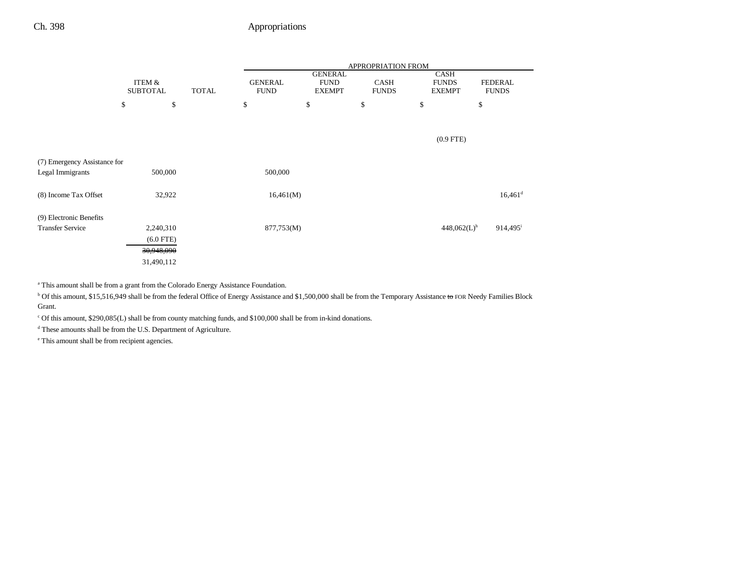|                              | ITEM &<br><b>SUBTOTAL</b><br><b>TOTAL</b> |         | APPROPRIATION FROM |    |                               |                                                |    |                             |    |                                              |                                |
|------------------------------|-------------------------------------------|---------|--------------------|----|-------------------------------|------------------------------------------------|----|-----------------------------|----|----------------------------------------------|--------------------------------|
|                              |                                           |         |                    |    | <b>GENERAL</b><br><b>FUND</b> | <b>GENERAL</b><br><b>FUND</b><br><b>EXEMPT</b> |    | <b>CASH</b><br><b>FUNDS</b> |    | <b>CASH</b><br><b>FUNDS</b><br><b>EXEMPT</b> | <b>FEDERAL</b><br><b>FUNDS</b> |
|                              | \$                                        | \$      |                    | \$ |                               | \$                                             | \$ |                             | \$ |                                              | \$                             |
|                              |                                           |         |                    |    |                               |                                                |    |                             |    |                                              |                                |
|                              |                                           |         |                    |    |                               |                                                |    |                             |    | $(0.9$ FTE)                                  |                                |
| (7) Emergency Assistance for |                                           |         |                    |    |                               |                                                |    |                             |    |                                              |                                |
| Legal Immigrants             |                                           | 500,000 |                    |    | 500,000                       |                                                |    |                             |    |                                              |                                |
| (8) Income Tax Offset        |                                           | 32,922  |                    |    | 16,461(M)                     |                                                |    |                             |    |                                              | $16,461$ <sup>d</sup>          |
| (9) Electronic Benefits      |                                           |         |                    |    |                               |                                                |    |                             |    |                                              |                                |
| <b>Transfer Service</b>      | 2,240,310                                 |         |                    |    | 877,753(M)                    |                                                |    |                             |    | $448,062(L)$ <sup>h</sup>                    | 914,495 <sup>i</sup>           |
|                              | $(6.0$ FTE)                               |         |                    |    |                               |                                                |    |                             |    |                                              |                                |
|                              | 30,948,090                                |         |                    |    |                               |                                                |    |                             |    |                                              |                                |
|                              | 31,490,112                                |         |                    |    |                               |                                                |    |                             |    |                                              |                                |

a This amount shall be from a grant from the Colorado Energy Assistance Foundation.

<sup>b</sup> Of this amount, \$15,516,949 shall be from the federal Office of Energy Assistance and \$1,500,000 shall be from the Temporary Assistance to FOR Needy Families Block Grant.

 $^{\circ}$  Of this amount, \$290,085(L) shall be from county matching funds, and \$100,000 shall be from in-kind donations.

d These amounts shall be from the U.S. Department of Agriculture.

e This amount shall be from recipient agencies.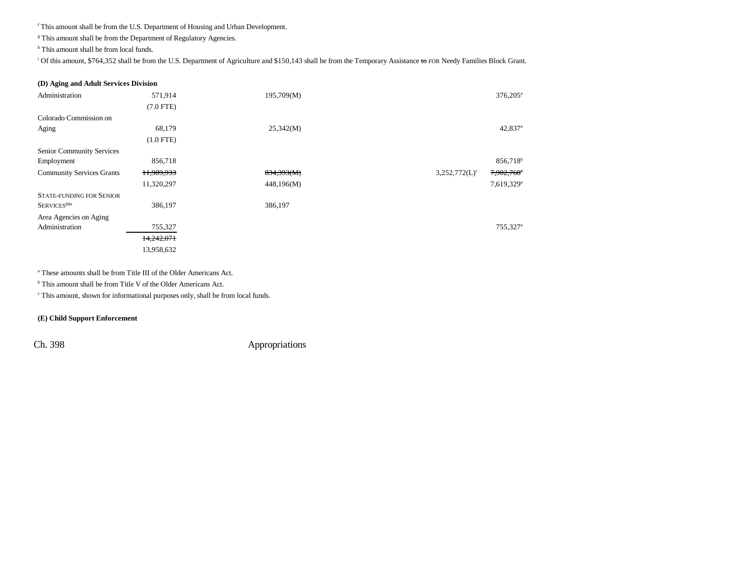f This amount shall be from the U.S. Department of Housing and Urban Development.

 ${}^{\ensuremath{\text{g}}}$  This amount shall be from the Department of Regulatory Agencies.

<sup>h</sup> This amount shall be from local funds.

<sup>i</sup> Of this amount, \$764,352 shall be from the U.S. Department of Agriculture and \$150,143 shall be from the Temporary Assistance to FOR Needy Families Block Grant.

#### **(D) Aging and Adult Services Division**

| Administration                   | 571,914     | 195,709(M) | $376,205^{\circ}$                          |
|----------------------------------|-------------|------------|--------------------------------------------|
|                                  | $(7.0$ FTE) |            |                                            |
| Colorado Commission on           |             |            |                                            |
| Aging                            | 68,179      | 25,342(M)  | $42,837$ <sup>a</sup>                      |
|                                  | $(1.0$ FTE) |            |                                            |
| Senior Community Services        |             |            |                                            |
| Employment                       | 856,718     |            | 856,718 <sup>b</sup>                       |
| <b>Community Services Grants</b> | 11,989,933  | 834,393(M) | 7,902,768 <sup>a</sup><br>$3,252,772(L)^c$ |
|                                  | 11,320,297  | 448,196(M) | 7,619,329 <sup>a</sup>                     |
| <b>STATE-FUNDING FOR SENIOR</b>  |             |            |                                            |
| SERVICES <sup>89a</sup>          | 386,197     | 386,197    |                                            |
| Area Agencies on Aging           |             |            |                                            |
| Administration                   | 755,327     |            | 755,327 <sup>a</sup>                       |
|                                  | 14,242,071  |            |                                            |
|                                  | 13,958,632  |            |                                            |

a These amounts shall be from Title III of the Older Americans Act.

<sup>b</sup> This amount shall be from Title V of the Older Americans Act.

c This amount, shown for informational purposes only, shall be from local funds.

### **(E) Child Support Enforcement**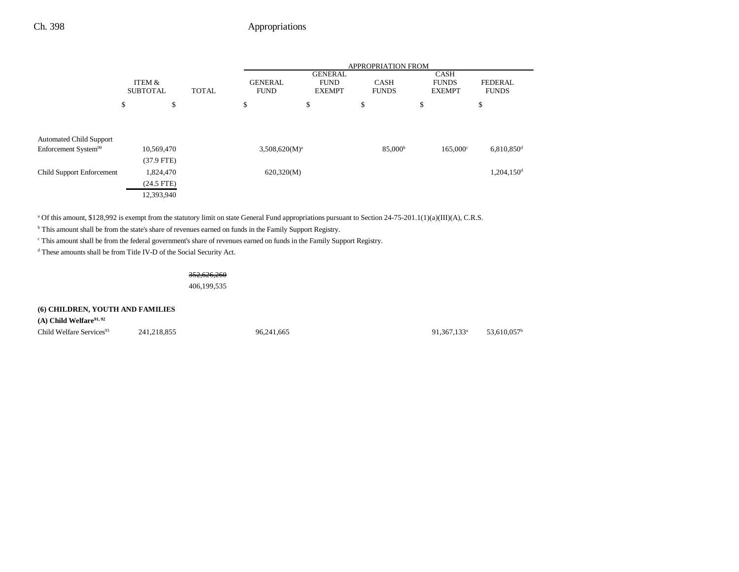|                                  |                            |              | <b>APPROPRIATION FROM</b>     |                                                |                             |                                              |                                |  |
|----------------------------------|----------------------------|--------------|-------------------------------|------------------------------------------------|-----------------------------|----------------------------------------------|--------------------------------|--|
|                                  | ITEM &<br><b>SUBTOTAL</b>  | <b>TOTAL</b> | <b>GENERAL</b><br><b>FUND</b> | <b>GENERAL</b><br><b>FUND</b><br><b>EXEMPT</b> | <b>CASH</b><br><b>FUNDS</b> | <b>CASH</b><br><b>FUNDS</b><br><b>EXEMPT</b> | <b>FEDERAL</b><br><b>FUNDS</b> |  |
|                                  | \$                         | \$           | \$                            | \$                                             | \$                          | \$                                           | \$                             |  |
| <b>Automated Child Support</b>   |                            |              |                               |                                                |                             |                                              |                                |  |
| Enforcement System <sup>90</sup> | 10,569,470<br>$(37.9$ FTE) |              | $3,508,620(M)^{a}$            |                                                | 85,000 <sup>b</sup>         | $165,000^{\circ}$                            | $6,810,850$ <sup>d</sup>       |  |
| <b>Child Support Enforcement</b> | 1,824,470<br>$(24.5$ FTE)  |              | 620,320(M)                    |                                                |                             |                                              | 1,204,150 <sup>d</sup>         |  |
|                                  | 12,393,940                 |              |                               |                                                |                             |                                              |                                |  |

<sup>a</sup> Of this amount, \$128,992 is exempt from the statutory limit on state General Fund appropriations pursuant to Section 24-75-201.1(1)(a)(III)(A), C.R.S.

b This amount shall be from the state's share of revenues earned on funds in the Family Support Registry.

c This amount shall be from the federal government's share of revenues earned on funds in the Family Support Registry.

d These amounts shall be from Title IV-D of the Social Security Act.

## 352,626,260

406,199,535

### **(6) CHILDREN, YOUTH AND FAMILIES**

**(A) Child Welfare91, 92**

Child Welfare Services<sup>93</sup> 241,218,855 96,241,665 91,367,133<sup>a</sup> 53,610,057<sup>b</sup>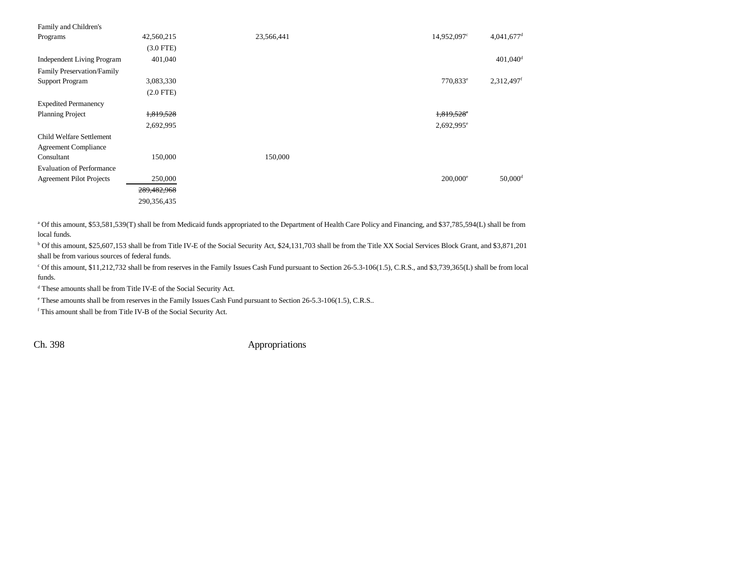| Family and Children's             |                |            |                        |                          |
|-----------------------------------|----------------|------------|------------------------|--------------------------|
| Programs                          | 42,560,215     | 23,566,441 | 14,952,097°            | $4,041,677$ <sup>d</sup> |
|                                   | $(3.0$ FTE $)$ |            |                        |                          |
| <b>Independent Living Program</b> | 401,040        |            |                        | $401,040$ <sup>d</sup>   |
| Family Preservation/Family        |                |            |                        |                          |
| <b>Support Program</b>            | 3,083,330      |            | 770,833 <sup>e</sup>   | 2,312,497 <sup>f</sup>   |
|                                   | $(2.0$ FTE $)$ |            |                        |                          |
| <b>Expedited Permanency</b>       |                |            |                        |                          |
| <b>Planning Project</b>           | 1,819,528      |            | $1,819,528$ °          |                          |
|                                   | 2,692,995      |            | $2,692,995^e$          |                          |
| Child Welfare Settlement          |                |            |                        |                          |
| <b>Agreement Compliance</b>       |                |            |                        |                          |
| Consultant                        | 150,000        | 150,000    |                        |                          |
| <b>Evaluation of Performance</b>  |                |            |                        |                          |
| <b>Agreement Pilot Projects</b>   | 250,000        |            | $200,000$ <sup>e</sup> | $50,000$ <sup>d</sup>    |
|                                   | 289,482,968    |            |                        |                          |
|                                   | 290,356,435    |            |                        |                          |

a Of this amount, \$53,581,539(T) shall be from Medicaid funds appropriated to the Department of Health Care Policy and Financing, and \$37,785,594(L) shall be from local funds.

b Of this amount, \$25,607,153 shall be from Title IV-E of the Social Security Act, \$24,131,703 shall be from the Title XX Social Services Block Grant, and \$3,871,201 shall be from various sources of federal funds.

c Of this amount, \$11,212,732 shall be from reserves in the Family Issues Cash Fund pursuant to Section 26-5.3-106(1.5), C.R.S., and \$3,739,365(L) shall be from local funds.

d These amounts shall be from Title IV-E of the Social Security Act.

e These amounts shall be from reserves in the Family Issues Cash Fund pursuant to Section 26-5.3-106(1.5), C.R.S..

 $^\mathrm{f}$  This amount shall be from Title IV-B of the Social Security Act.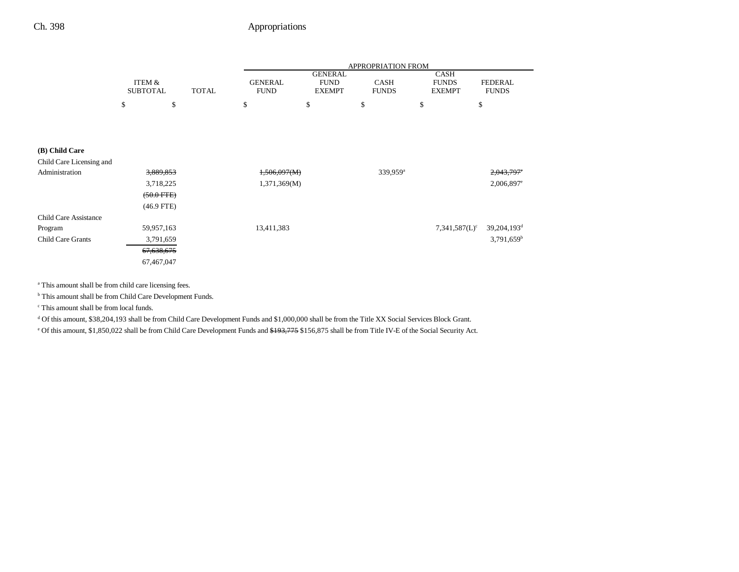|                 |   |       |                |                | <b>APPROPRIATION FROM</b> |               |                |
|-----------------|---|-------|----------------|----------------|---------------------------|---------------|----------------|
|                 |   |       |                | <b>GENERAL</b> |                           | <b>CASH</b>   |                |
| ITEM &          |   |       | <b>GENERAL</b> | <b>FUND</b>    | <b>CASH</b>               | <b>FUNDS</b>  | <b>FEDERAL</b> |
| <b>SUBTOTAL</b> |   | TOTAL | <b>FUND</b>    | <b>EXEMPT</b>  | <b>FUNDS</b>              | <b>EXEMPT</b> | <b>FUNDS</b>   |
| D               | D |       | \$             | D              | э                         |               | \$             |
|                 |   |       |                |                |                           |               |                |
|                 |   |       |                |                |                           |               |                |
|                 |   |       |                |                |                           |               |                |

### **(B) Child Care**

| Child Care Licensing and     |                      |              |                      |                                                        |
|------------------------------|----------------------|--------------|----------------------|--------------------------------------------------------|
| Administration               | 3,889,853            | 1,506,097(M) | 339,959 <sup>a</sup> | $2,043,797$ <sup>c</sup>                               |
|                              | 3,718,225            | 1,371,369(M) |                      | $2,006,897$ <sup>e</sup>                               |
|                              | $(50.0 \text{ FFE})$ |              |                      |                                                        |
|                              | $(46.9$ FTE)         |              |                      |                                                        |
| <b>Child Care Assistance</b> |                      |              |                      |                                                        |
| Program                      | 59,957,163           | 13,411,383   |                      | 39,204,193 <sup>d</sup><br>$7,341,587(L)$ <sup>c</sup> |
| Child Care Grants            | 3,791,659            |              |                      | $3,791,659$ <sup>b</sup>                               |
|                              | 67,638,675           |              |                      |                                                        |
|                              | 67,467,047           |              |                      |                                                        |

a This amount shall be from child care licensing fees.

**b** This amount shall be from Child Care Development Funds.

c This amount shall be from local funds.

d Of this amount, \$38,204,193 shall be from Child Care Development Funds and \$1,000,000 shall be from the Title XX Social Services Block Grant.

<sup>e</sup> Of this amount, \$1,850,022 shall be from Child Care Development Funds and \$193,775 \$156,875 shall be from Title IV-E of the Social Security Act.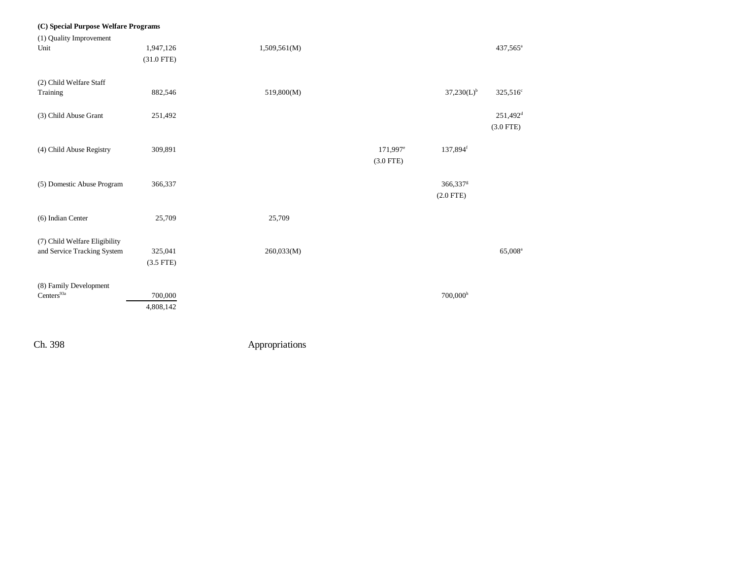| (C) Special Purpose Welfare Programs |              |              |                        |                        |                      |
|--------------------------------------|--------------|--------------|------------------------|------------------------|----------------------|
| (1) Quality Improvement              |              |              |                        |                        |                      |
| Unit                                 | 1,947,126    | 1,509,561(M) |                        |                        | 437,565 <sup>a</sup> |
|                                      | $(31.0$ FTE) |              |                        |                        |                      |
|                                      |              |              |                        |                        |                      |
| (2) Child Welfare Staff              |              |              |                        |                        |                      |
| Training                             | 882,546      | 519,800(M)   |                        | $37,230(L)^{b}$        | $325,516^{\circ}$    |
|                                      |              |              |                        |                        |                      |
| (3) Child Abuse Grant                | 251,492      |              |                        |                        | 251,492 <sup>d</sup> |
|                                      |              |              |                        |                        | $(3.0$ FTE)          |
|                                      |              |              |                        |                        |                      |
| (4) Child Abuse Registry             | 309,891      |              | $171,997$ <sup>e</sup> | 137,894 <sup>f</sup>   |                      |
|                                      |              |              | $(3.0$ FTE)            |                        |                      |
|                                      |              |              |                        |                        |                      |
| (5) Domestic Abuse Program           | 366,337      |              |                        | 366,337 <sup>g</sup>   |                      |
|                                      |              |              |                        | $(2.0$ FTE)            |                      |
|                                      |              |              |                        |                        |                      |
| (6) Indian Center                    | 25,709       | 25,709       |                        |                        |                      |
|                                      |              |              |                        |                        |                      |
| (7) Child Welfare Eligibility        |              |              |                        |                        |                      |
| and Service Tracking System          | 325,041      | 260,033(M)   |                        |                        | 65,008 <sup>a</sup>  |
|                                      | $(3.5$ FTE)  |              |                        |                        |                      |
|                                      |              |              |                        |                        |                      |
| (8) Family Development               |              |              |                        |                        |                      |
| $Centers^{93a}$                      | 700,000      |              |                        | $700,000$ <sup>h</sup> |                      |
|                                      | 4,808,142    |              |                        |                        |                      |
|                                      |              |              |                        |                        |                      |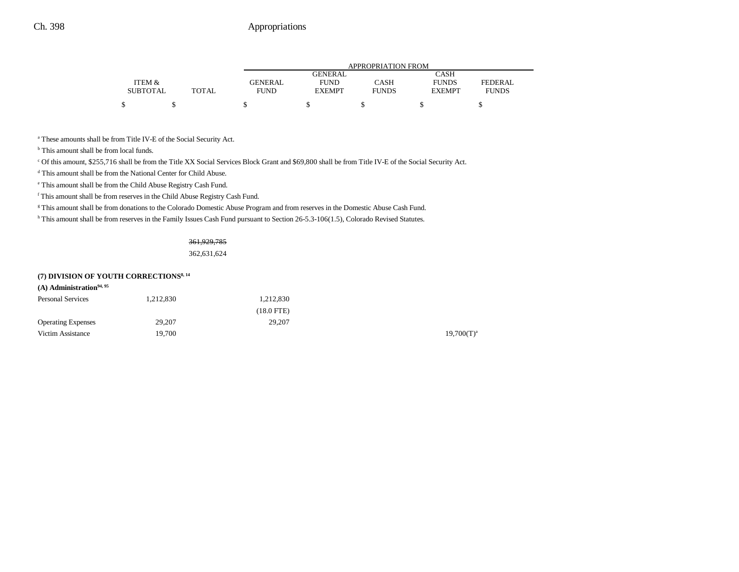|                 |       |                | APPROPRIATION FROM |              |               |              |  |  |  |
|-----------------|-------|----------------|--------------------|--------------|---------------|--------------|--|--|--|
|                 |       |                | <b>GENERAL</b>     |              | CASH          |              |  |  |  |
| ITEM &          |       | <b>GENERAL</b> | <b>FUND</b>        | CASH         | <b>FUNDS</b>  | FEDERAL.     |  |  |  |
| <b>SUBTOTAL</b> | TOTAL | <b>FUND</b>    | <b>EXEMPT</b>      | <b>FUNDS</b> | <b>EXEMPT</b> | <b>FUNDS</b> |  |  |  |
|                 |       |                |                    |              |               |              |  |  |  |

a These amounts shall be from Title IV-E of the Social Security Act.

<sup>b</sup> This amount shall be from local funds.

c Of this amount, \$255,716 shall be from the Title XX Social Services Block Grant and \$69,800 shall be from Title IV-E of the Social Security Act.

d This amount shall be from the National Center for Child Abuse.

e This amount shall be from the Child Abuse Registry Cash Fund.

f This amount shall be from reserves in the Child Abuse Registry Cash Fund.

<sup>g</sup> This amount shall be from donations to the Colorado Domestic Abuse Program and from reserves in the Domestic Abuse Cash Fund.

h This amount shall be from reserves in the Family Issues Cash Fund pursuant to Section 26-5.3-106(1.5), Colorado Revised Statutes.

#### 361,929,785

362,631,624

## **(7) DIVISION OF YOUTH CORRECTIONS8, 14**

| $(A)$ Administration <sup>94, 95</sup> |           |                 |                 |
|----------------------------------------|-----------|-----------------|-----------------|
| <b>Personal Services</b>               | 1.212.830 | 1,212,830       |                 |
|                                        |           | $(18.0$ FTE $)$ |                 |
| <b>Operating Expenses</b>              | 29,207    | 29,207          |                 |
| Victim Assistance                      | 19.700    |                 | $19,700(T)^{3}$ |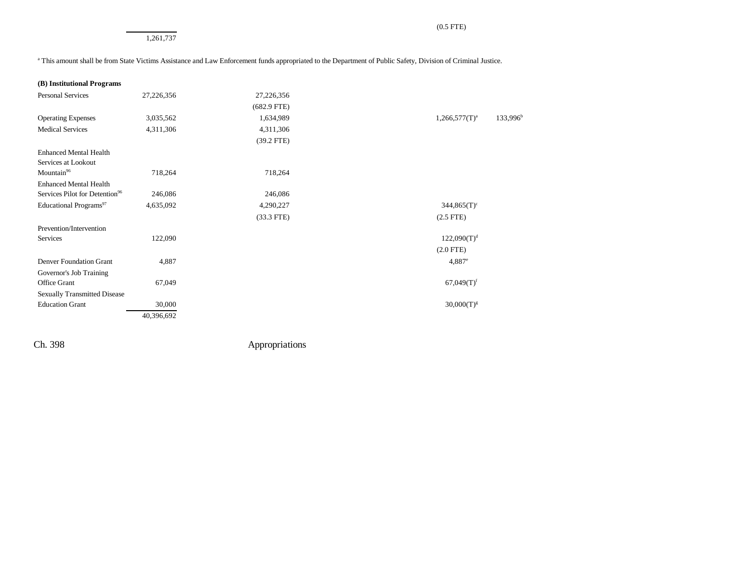1,261,737

<sup>a</sup> This amount shall be from State Victims Assistance and Law Enforcement funds appropriated to the Department of Public Safety, Division of Criminal Justice.

| (B) Institutional Programs |  |  |  |
|----------------------------|--|--|--|
|----------------------------|--|--|--|

| <b>Personal Services</b>                   | 27,226,356 | 27,226,356    |                                          |
|--------------------------------------------|------------|---------------|------------------------------------------|
|                                            |            | $(682.9$ FTE) |                                          |
| <b>Operating Expenses</b>                  | 3,035,562  | 1,634,989     | 133,996 <sup>b</sup><br>$1,266,577(T)^a$ |
| <b>Medical Services</b>                    | 4,311,306  | 4,311,306     |                                          |
|                                            |            | $(39.2$ FTE)  |                                          |
| <b>Enhanced Mental Health</b>              |            |               |                                          |
| Services at Lookout                        |            |               |                                          |
| Mountain <sup>96</sup>                     | 718,264    | 718,264       |                                          |
| <b>Enhanced Mental Health</b>              |            |               |                                          |
| Services Pilot for Detention <sup>96</sup> | 246,086    | 246,086       |                                          |
| Educational Programs <sup>97</sup>         | 4,635,092  | 4,290,227     | $344,865(T)^c$                           |
|                                            |            | $(33.3$ FTE)  | $(2.5$ FTE)                              |
| Prevention/Intervention                    |            |               |                                          |
| Services                                   | 122,090    |               | $122,090(T)^d$                           |
|                                            |            |               | $(2.0$ FTE)                              |
| Denver Foundation Grant                    | 4,887      |               | $4,887^e$                                |
| Governor's Job Training                    |            |               |                                          |
| Office Grant                               | 67,049     |               | $67,049(T)$ <sup>f</sup>                 |
| <b>Sexually Transmitted Disease</b>        |            |               |                                          |
| <b>Education Grant</b>                     | 30,000     |               | $30,000(T)^{g}$                          |
|                                            | 40,396,692 |               |                                          |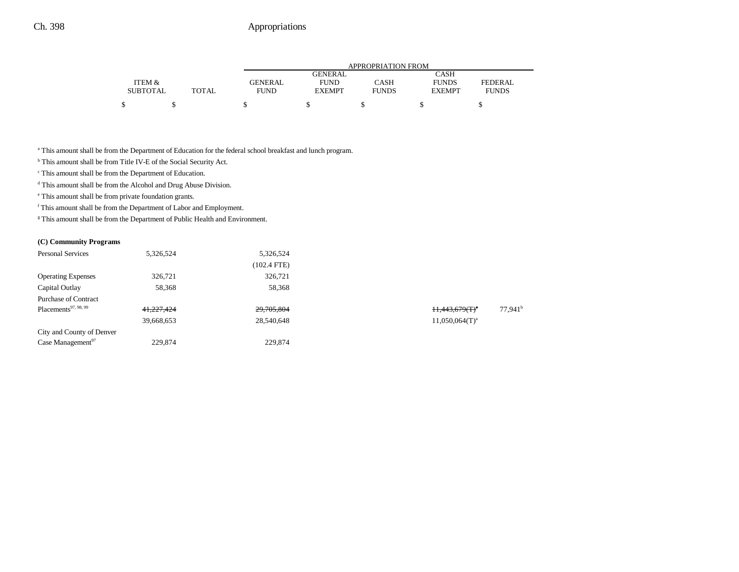|       | APPROPRIATION FROM |               |              |               |                |  |
|-------|--------------------|---------------|--------------|---------------|----------------|--|
|       |                    | GENERAL       |              | CASH          |                |  |
|       | <b>GENERAL</b>     | <b>FUND</b>   | CASH         | <b>FUNDS</b>  | <b>FEDERAL</b> |  |
| TOTAL | <b>FUND</b>        | <b>EXEMPT</b> | <b>FUNDS</b> | <b>EXEMPT</b> | <b>FUNDS</b>   |  |
|       |                    |               |              |               |                |  |
|       |                    |               |              |               |                |  |

a This amount shall be from the Department of Education for the federal school breakfast and lunch program.

b This amount shall be from Title IV-E of the Social Security Act.

c This amount shall be from the Department of Education.

 $^{\rm d}$  This amount shall be from the Alcohol and Drug Abuse Division.

e This amount shall be from private foundation grants.

 $^{\rm f}$  This amount shall be from the Department of Labor and Employment.

<sup>g</sup> This amount shall be from the Department of Public Health and Environment.

#### **(C) Community Programs**

| <b>Personal Services</b>         | 5,326,524  | 5,326,524     |                     |                       |
|----------------------------------|------------|---------------|---------------------|-----------------------|
|                                  |            | $(102.4$ FTE) |                     |                       |
| <b>Operating Expenses</b>        | 326,721    | 326,721       |                     |                       |
| Capital Outlay                   | 58,368     | 58,368        |                     |                       |
| <b>Purchase of Contract</b>      |            |               |                     |                       |
| Placements <sup>97, 98, 99</sup> | 41,227,424 | 29,705,804    | $+1,443,679(T)^a$   | $77.941$ <sup>t</sup> |
|                                  | 39,668,653 | 28,540,648    | $11,050,064(T)^{a}$ |                       |
| City and County of Denver        |            |               |                     |                       |
| Case Management <sup>97</sup>    | 229,874    | 229,874       |                     |                       |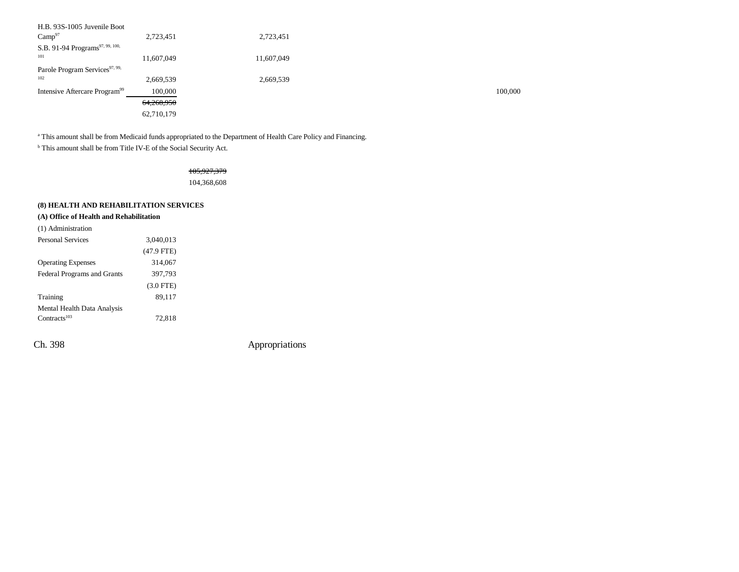| H.B. 93S-1005 Juvenile Boot                 |            |            |         |
|---------------------------------------------|------------|------------|---------|
| Camp <sup>97</sup>                          | 2,723,451  | 2,723,451  |         |
| S.B. 91-94 Programs <sup>97, 99, 100,</sup> |            |            |         |
| 101                                         | 11,607,049 | 11,607,049 |         |
| Parole Program Services <sup>97, 99,</sup>  |            |            |         |
| 102                                         | 2,669,539  | 2,669,539  |         |
| Intensive Aftercare Program <sup>99</sup>   | 100,000    |            | 100,000 |
|                                             | 64,268,950 |            |         |
|                                             | 62,710,179 |            |         |

<sup>a</sup> This amount shall be from Medicaid funds appropriated to the Department of Health Care Policy and Financing.

b This amount shall be from Title IV-E of the Social Security Act.

## 105,927,379

104,368,608

## **(8) HEALTH AND REHABILITATION SERVICES**

## **(A) Office of Health and Rehabilitation**

| (1) Administration                 |              |  |
|------------------------------------|--------------|--|
| <b>Personal Services</b>           | 3,040,013    |  |
|                                    | $(47.9$ FTE) |  |
| <b>Operating Expenses</b>          | 314,067      |  |
| <b>Federal Programs and Grants</b> | 397,793      |  |
|                                    | $(3.0$ FTE)  |  |
| Training                           | 89,117       |  |
| Mental Health Data Analysis        |              |  |
| $Contracts^{103}$                  | 72,818       |  |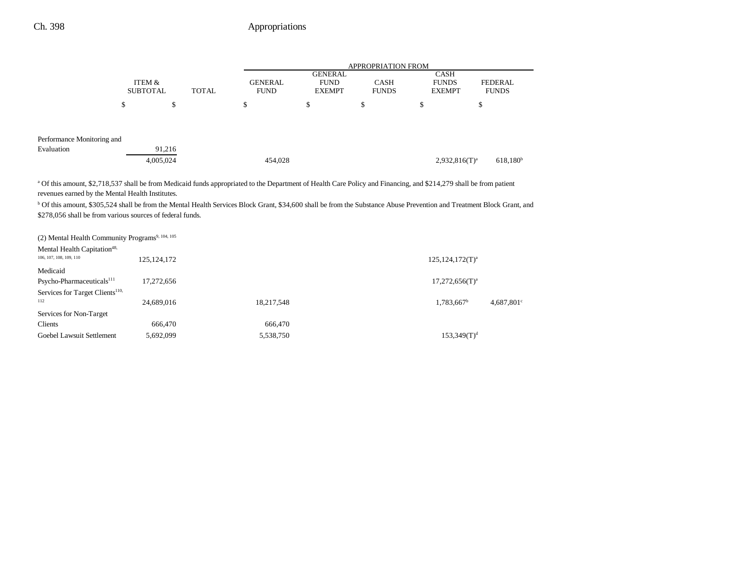|                                                                                                                                                                             |   |                                           |  | <b>APPROPRIATION FROM</b> |                |             |                  |                      |
|-----------------------------------------------------------------------------------------------------------------------------------------------------------------------------|---|-------------------------------------------|--|---------------------------|----------------|-------------|------------------|----------------------|
|                                                                                                                                                                             |   |                                           |  |                           | <b>GENERAL</b> |             | <b>CASH</b>      |                      |
|                                                                                                                                                                             |   | ITEM &<br><b>TOTAL</b><br><b>SUBTOTAL</b> |  | <b>GENERAL</b>            | <b>FUND</b>    | <b>CASH</b> | <b>FUNDS</b>     | <b>FEDERAL</b>       |
|                                                                                                                                                                             |   |                                           |  | <b>FUND</b>               | <b>EXEMPT</b>  |             | <b>EXEMPT</b>    | <b>FUNDS</b>         |
|                                                                                                                                                                             | ъ | \$                                        |  | S                         | \$             | D           | \$               | \$                   |
| Performance Monitoring and                                                                                                                                                  |   |                                           |  |                           |                |             |                  |                      |
| Evaluation                                                                                                                                                                  |   | 91,216                                    |  |                           |                |             |                  |                      |
|                                                                                                                                                                             |   | 4,005,024                                 |  | 454,028                   |                |             | $2,932,816(T)^a$ | 618,180 <sup>b</sup> |
| <sup>a</sup> Of this amount \$2.718.537 shall be from Medicaid funds appropriated to the Department of Health Care Policy and Financing and \$214.279 shall be from patient |   |                                           |  |                           |                |             |                  |                      |

Of this amount, \$2,718,537 shall be from Medicaid funds appropriated to the Department of Health Care Policy and Financing, and \$214,279 shall be from patient revenues earned by the Mental Health Institutes.

b Of this amount, \$305,524 shall be from the Mental Health Services Block Grant, \$34,600 shall be from the Substance Abuse Prevention and Treatment Block Grant, and \$278,056 shall be from various sources of federal funds.

| (2) Mental Health Community Programs <sup>9, 104, 105</sup> |               |            |                            |
|-------------------------------------------------------------|---------------|------------|----------------------------|
| Mental Health Capitation <sup>48,</sup>                     |               |            |                            |
| 106, 107, 108, 109, 110                                     | 125, 124, 172 |            | $125,124,172(T)^{a}$       |
| Medicaid                                                    |               |            |                            |
| Psycho-Pharmaceuticals <sup>111</sup>                       | 17.272.656    |            | $17,272,656(T)^a$          |
| Services for Target Clients <sup>110,</sup>                 |               |            |                            |
| 112                                                         | 24.689.016    | 18,217,548 | $1,783,667^b$<br>4,687,801 |
| Services for Non-Target                                     |               |            |                            |
| Clients                                                     | 666.470       | 666,470    |                            |
| Goebel Lawsuit Settlement                                   | 5.692.099     | 5,538,750  | $153,349(T)^d$             |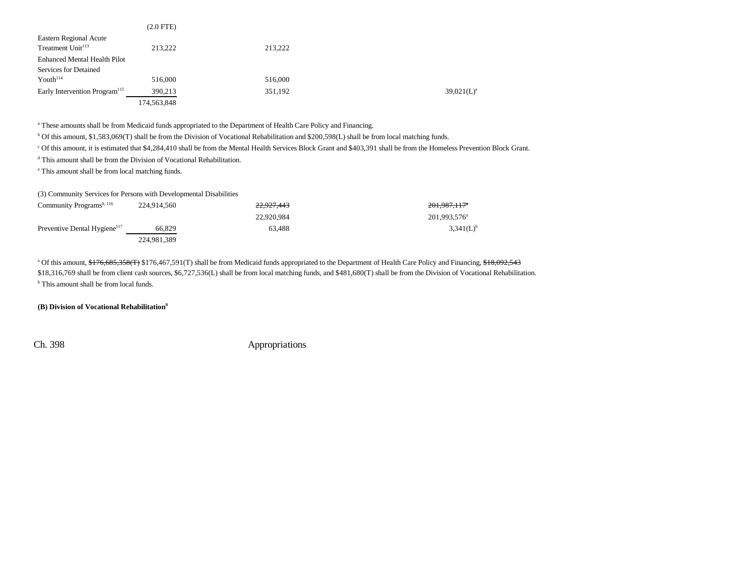|                                           | $(2.0$ FTE $)$ |         |               |
|-------------------------------------------|----------------|---------|---------------|
| <b>Eastern Regional Acute</b>             |                |         |               |
| Treatment Unit <sup>113</sup>             | 213,222        | 213,222 |               |
| <b>Enhanced Mental Health Pilot</b>       |                |         |               |
| Services for Detained                     |                |         |               |
| Youth <sup>114</sup>                      | 516,000        | 516,000 |               |
| Early Intervention Program <sup>115</sup> | 390,213        | 351,192 | $39,021(L)^e$ |
|                                           | 174,563,848    |         |               |

a These amounts shall be from Medicaid funds appropriated to the Department of Health Care Policy and Financing.

b Of this amount, \$1,583,069(T) shall be from the Division of Vocational Rehabilitation and \$200,598(L) shall be from local matching funds.

c Of this amount, it is estimated that \$4,284,410 shall be from the Mental Health Services Block Grant and \$403,391 shall be from the Homeless Prevention Block Grant.

d This amount shall be from the Division of Vocational Rehabilitation.

e This amount shall be from local matching funds.

(3) Community Services for Persons with Developmental Disabilities

| Community Programs <sup>9, 116</sup>     | 224,914,560 | 22.927.443 | <del>201.987,117</del> * |
|------------------------------------------|-------------|------------|--------------------------|
|                                          |             | 22.920.984 | 201.993.576 <sup>a</sup> |
| Preventive Dental Hygiene <sup>117</sup> | 66,829      | 63.488     | $3,341(L)^{b}$           |
|                                          | 224,981,389 |            |                          |

<sup>a</sup> Of this amount, \$176,685,358(T) \$176,467,591(T) shall be from Medicaid funds appropriated to the Department of Health Care Policy and Financing, \$18,092,543 \$18,316,769 shall be from client cash sources, \$6,727,536(L) shall be from local matching funds, and \$481,680(T) shall be from the Division of Vocational Rehabilitation. <sup>b</sup> This amount shall be from local funds.

**(B) Division of Vocational Rehabilitation9**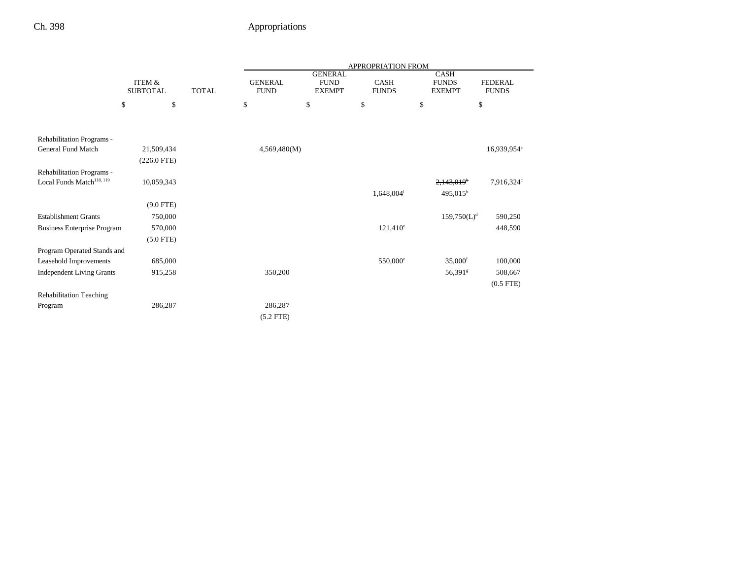|                                                                    |                                           |  | APPROPRIATION FROM            |                                                |                          |                                       |                                |
|--------------------------------------------------------------------|-------------------------------------------|--|-------------------------------|------------------------------------------------|--------------------------|---------------------------------------|--------------------------------|
|                                                                    | ITEM &<br><b>TOTAL</b><br><b>SUBTOTAL</b> |  | <b>GENERAL</b><br><b>FUND</b> | <b>GENERAL</b><br><b>FUND</b><br><b>EXEMPT</b> | CASH<br><b>FUNDS</b>     | CASH<br><b>FUNDS</b><br><b>EXEMPT</b> | <b>FEDERAL</b><br><b>FUNDS</b> |
|                                                                    | \$<br>\$                                  |  | \$                            | \$                                             | \$                       | \$                                    | \$                             |
|                                                                    |                                           |  |                               |                                                |                          |                                       |                                |
| Rehabilitation Programs -<br><b>General Fund Match</b>             |                                           |  |                               |                                                |                          |                                       |                                |
|                                                                    | 21,509,434                                |  | 4,569,480(M)                  |                                                |                          |                                       | 16,939,954 <sup>a</sup>        |
|                                                                    | $(226.0$ FTE)                             |  |                               |                                                |                          |                                       |                                |
| Rehabilitation Programs -<br>Local Funds Match <sup>118, 119</sup> | 10,059,343                                |  |                               |                                                |                          | $2,143,019$ <sup>b</sup>              | 7,916,324°                     |
|                                                                    |                                           |  |                               |                                                | $1,648,004$ <sup>i</sup> | $495,015^{\rm b}$                     |                                |
|                                                                    | $(9.0$ FTE)                               |  |                               |                                                |                          |                                       |                                |
| <b>Establishment Grants</b>                                        | 750,000                                   |  |                               |                                                |                          | $159,750(L)^d$                        | 590,250                        |
| <b>Business Enterprise Program</b>                                 | 570,000                                   |  |                               |                                                | $121,410^e$              |                                       | 448,590                        |
|                                                                    | $(5.0$ FTE)                               |  |                               |                                                |                          |                                       |                                |
| Program Operated Stands and                                        |                                           |  |                               |                                                |                          |                                       |                                |
| Leasehold Improvements                                             | 685,000                                   |  |                               |                                                | 550,000 <sup>e</sup>     | $35,000$ <sup>f</sup>                 | 100,000                        |
| <b>Independent Living Grants</b>                                   | 915,258                                   |  | 350,200                       |                                                |                          | 56,391 <sup>g</sup>                   | 508,667                        |
|                                                                    |                                           |  |                               |                                                |                          |                                       | $(0.5$ FTE $)$                 |
| <b>Rehabilitation Teaching</b>                                     |                                           |  |                               |                                                |                          |                                       |                                |
| Program                                                            | 286,287                                   |  | 286,287                       |                                                |                          |                                       |                                |
|                                                                    |                                           |  | $(5.2$ FTE)                   |                                                |                          |                                       |                                |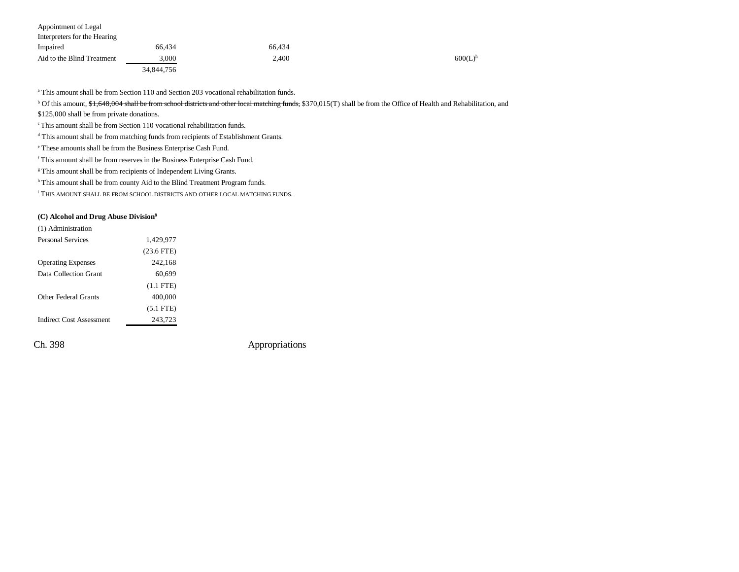| Appointment of Legal         |            |        |                       |
|------------------------------|------------|--------|-----------------------|
| Interpreters for the Hearing |            |        |                       |
| Impaired                     | 66.434     | 66.434 |                       |
| Aid to the Blind Treatment   | 3.000      | 2.400  | $600(L)$ <sup>h</sup> |
|                              | 34,844,756 |        |                       |

a This amount shall be from Section 110 and Section 203 vocational rehabilitation funds.

<sup>b</sup> Of this amount, \$1,648,004 shall be from school districts and other local matching funds, \$370,015(T) shall be from the Office of Health and Rehabilitation, and

\$125,000 shall be from private donations.

c This amount shall be from Section 110 vocational rehabilitation funds.

d This amount shall be from matching funds from recipients of Establishment Grants.

e These amounts shall be from the Business Enterprise Cash Fund.

 $^{\rm f}$  This amount shall be from reserves in the Business Enterprise Cash Fund.

<sup>g</sup> This amount shall be from recipients of Independent Living Grants.

h This amount shall be from county Aid to the Blind Treatment Program funds.

i THIS AMOUNT SHALL BE FROM SCHOOL DISTRICTS AND OTHER LOCAL MATCHING FUNDS.

#### **(C) Alcohol and Drug Abuse Division8**

| (1) Administration              |              |
|---------------------------------|--------------|
| Personal Services               | 1,429,977    |
|                                 | $(23.6$ FTE) |
| <b>Operating Expenses</b>       | 242,168      |
| Data Collection Grant           | 60,699       |
|                                 | $(1.1$ FTE)  |
| Other Federal Grants            | 400,000      |
|                                 | $(5.1$ FTE)  |
| <b>Indirect Cost Assessment</b> | 243.723      |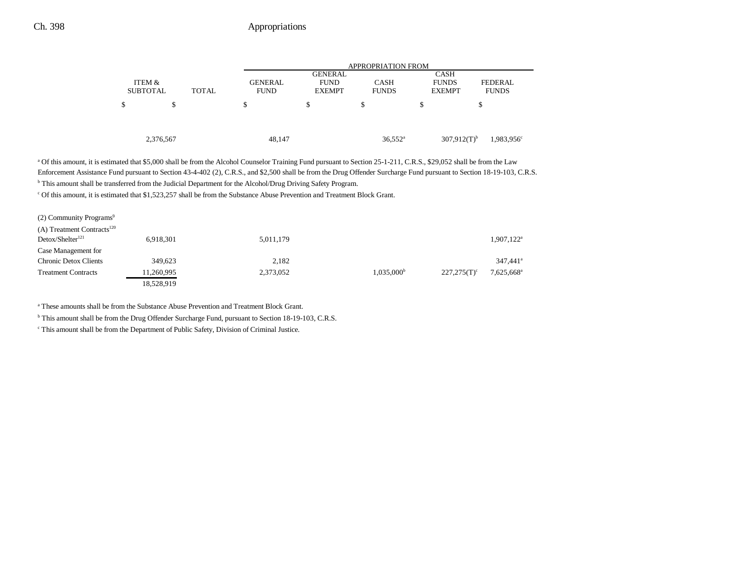|   |                 |              |                | APPROPRIATION FROM |                  |   |                                                     |  |  |
|---|-----------------|--------------|----------------|--------------------|------------------|---|-----------------------------------------------------|--|--|
|   |                 |              |                | <b>GENERAL</b>     |                  |   | <b>CASH</b>                                         |  |  |
|   | ITEM &          |              | <b>GENERAL</b> | <b>FUND</b>        | <b>CASH</b>      |   | <b>FUNDS</b><br><b>FEDERAL</b>                      |  |  |
|   | <b>SUBTOTAL</b> | <b>TOTAL</b> | <b>FUND</b>    | <b>EXEMPT</b>      | <b>FUNDS</b>     |   | <b>FUNDS</b><br><b>EXEMPT</b>                       |  |  |
| ъ | \$              |              | S              | \$                 | \$               | S | ъ                                                   |  |  |
|   |                 |              |                |                    |                  |   |                                                     |  |  |
|   |                 |              |                |                    |                  |   |                                                     |  |  |
|   |                 |              |                |                    |                  |   |                                                     |  |  |
|   | 2,376,567       |              | 48,147         |                    | $36,552^{\rm a}$ |   | $307,912(T)$ <sup>b</sup><br>1,983,956 <sup>c</sup> |  |  |

<sup>a</sup> Of this amount, it is estimated that \$5,000 shall be from the Alcohol Counselor Training Fund pursuant to Section 25-1-211, C.R.S., \$29,052 shall be from the Law Enforcement Assistance Fund pursuant to Section 43-4-402 (2), C.R.S., and \$2,500 shall be from the Drug Offender Surcharge Fund pursuant to Section 18-19-103, C.R.S.

b This amount shall be transferred from the Judicial Department for the Alcohol/Drug Driving Safety Program.

c Of this amount, it is estimated that \$1,523,257 shall be from the Substance Abuse Prevention and Treatment Block Grant.

| $(2)$ Community Programs <sup>9</sup>  |            |           |                     |                |                          |
|----------------------------------------|------------|-----------|---------------------|----------------|--------------------------|
| (A) Treatment Contracts <sup>120</sup> |            |           |                     |                |                          |
| Detox/SheIter <sup>121</sup>           | 6,918,301  | 5,011,179 |                     |                | $1,907,122$ <sup>a</sup> |
| Case Management for                    |            |           |                     |                |                          |
| <b>Chronic Detox Clients</b>           | 349,623    | 2,182     |                     |                | 347.441 <sup>a</sup>     |
| <b>Treatment Contracts</b>             | 11,260,995 | 2,373,052 | $1,035,000^{\rm b}$ | $227,275(T)^c$ | 7,625,668 <sup>a</sup>   |
|                                        | 18,528,919 |           |                     |                |                          |

a These amounts shall be from the Substance Abuse Prevention and Treatment Block Grant.

b This amount shall be from the Drug Offender Surcharge Fund, pursuant to Section 18-19-103, C.R.S.

c This amount shall be from the Department of Public Safety, Division of Criminal Justice.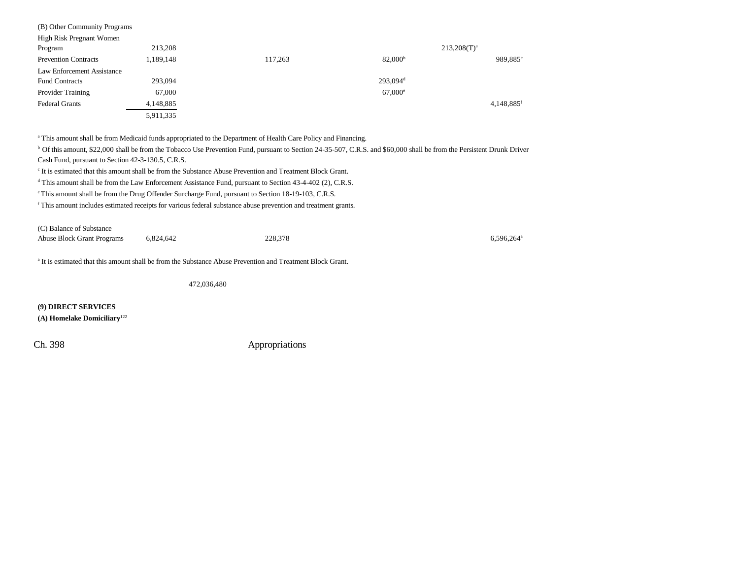| (B) Other Community Programs |           |         |                      |                        |
|------------------------------|-----------|---------|----------------------|------------------------|
| High Risk Pregnant Women     |           |         |                      |                        |
| Program                      | 213,208   |         |                      | $213,208(T)^{a}$       |
| <b>Prevention Contracts</b>  | 1,189,148 | 117,263 | 82.000 <sup>b</sup>  | 989,885 <sup>c</sup>   |
| Law Enforcement Assistance   |           |         |                      |                        |
| <b>Fund Contracts</b>        | 293,094   |         | 293.094 <sup>d</sup> |                        |
| <b>Provider Training</b>     | 67,000    |         | $67,000^{\circ}$     |                        |
| <b>Federal Grants</b>        | 4,148,885 |         |                      | 4,148,885 <sup>f</sup> |
|                              | 5,911,335 |         |                      |                        |

a This amount shall be from Medicaid funds appropriated to the Department of Health Care Policy and Financing.

b Of this amount, \$22,000 shall be from the Tobacco Use Prevention Fund, pursuant to Section 24-35-507, C.R.S. and \$60,000 shall be from the Persistent Drunk Driver Cash Fund, pursuant to Section 42-3-130.5, C.R.S.

c It is estimated that this amount shall be from the Substance Abuse Prevention and Treatment Block Grant.

<sup>d</sup> This amount shall be from the Law Enforcement Assistance Fund, pursuant to Section 43-4-402 (2), C.R.S.

e This amount shall be from the Drug Offender Surcharge Fund, pursuant to Section 18-19-103, C.R.S.

f This amount includes estimated receipts for various federal substance abuse prevention and treatment grants.

(C) Balance of Substance Abuse Block Grant Programs 6,824,642 228,378 6,596,264<sup>a</sup> 6,596,264<sup>a</sup>

a It is estimated that this amount shall be from the Substance Abuse Prevention and Treatment Block Grant.

472,036,480

**(9) DIRECT SERVICES**

**(A) Homelake Domiciliary**122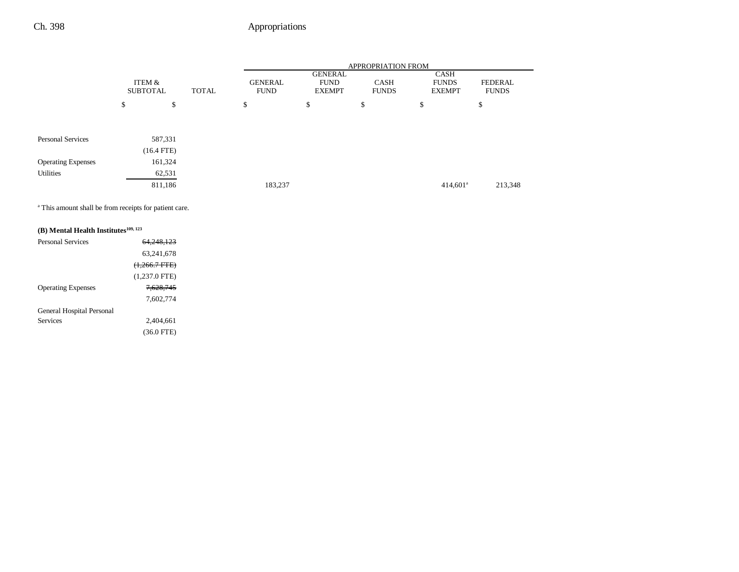|                           |                           |              |              | <b>APPROPRIATION FROM</b>     |         |                                         |                             |                                              |                                |
|---------------------------|---------------------------|--------------|--------------|-------------------------------|---------|-----------------------------------------|-----------------------------|----------------------------------------------|--------------------------------|
|                           | ITEM &<br><b>SUBTOTAL</b> |              | <b>TOTAL</b> | <b>GENERAL</b><br><b>FUND</b> |         | GENERAL<br><b>FUND</b><br><b>EXEMPT</b> | <b>CASH</b><br><b>FUNDS</b> | <b>CASH</b><br><b>FUNDS</b><br><b>EXEMPT</b> | <b>FEDERAL</b><br><b>FUNDS</b> |
|                           | \$                        | \$           |              | \$                            | \$      | \$                                      |                             | \$                                           | \$                             |
|                           |                           |              |              |                               |         |                                         |                             |                                              |                                |
| <b>Personal Services</b>  |                           | 587,331      |              |                               |         |                                         |                             |                                              |                                |
|                           |                           | $(16.4$ FTE) |              |                               |         |                                         |                             |                                              |                                |
| <b>Operating Expenses</b> |                           | 161,324      |              |                               |         |                                         |                             |                                              |                                |
| Utilities                 |                           | 62,531       |              |                               |         |                                         |                             |                                              |                                |
|                           |                           | 811,186      |              |                               | 183,237 |                                         |                             | $414,601^a$                                  | 213,348                        |

a This amount shall be from receipts for patient care.

# **(B)** Mental Health Institutes<sup>109, 123</sup>

| <b>Personal Services</b>  | 64.248.123      |
|---------------------------|-----------------|
|                           | 63.241.678      |
|                           | $(+,266.7$ FTE) |
|                           | $(1,237.0$ FTE) |
| <b>Operating Expenses</b> | 7.628.745       |
|                           | 7.602.774       |
| General Hospital Personal |                 |
| <b>Services</b>           | 2.404.661       |
|                           | $(36.0$ FTE)    |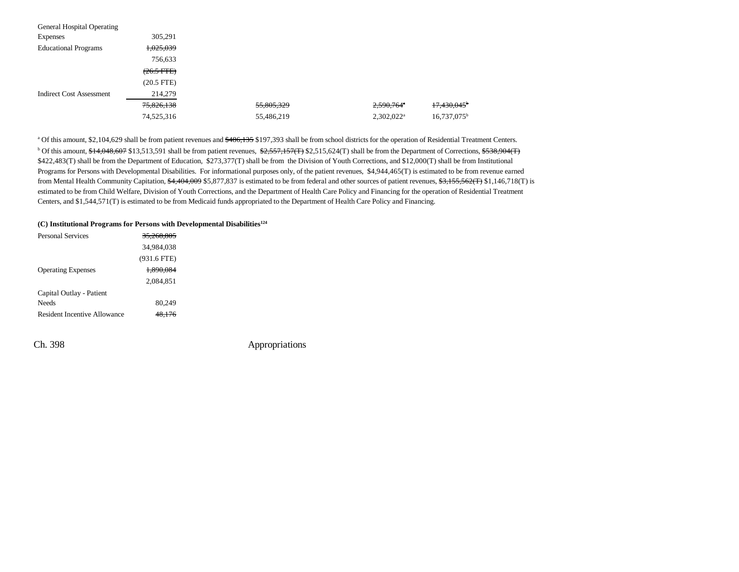| General Hospital Operating      |                      |            |                          |                      |
|---------------------------------|----------------------|------------|--------------------------|----------------------|
| <b>Expenses</b>                 | 305.291              |            |                          |                      |
| <b>Educational Programs</b>     | 1,025,039            |            |                          |                      |
|                                 | 756,633              |            |                          |                      |
|                                 | $(26.5 \text{ FFE})$ |            |                          |                      |
|                                 | $(20.5$ FTE)         |            |                          |                      |
| <b>Indirect Cost Assessment</b> | 214,279              |            |                          |                      |
|                                 | 75,826,138           | 55,805,329 | $2,590,764$ <sup>a</sup> | 17,430,045           |
|                                 | 74,525,316           | 55,486,219 | $2,302,022^a$            | $16,737,075^{\rm b}$ |

<sup>a</sup> Of this amount, \$2,104,629 shall be from patient revenues and  $$486,135$  \$197,393 shall be from school districts for the operation of Residential Treatment Centers.  $b$  Of this amount,  $f_14,048,607$  \$13,513,591 shall be from patient revenues,  $f_2$ ,557,157(T) \$2,515,624(T) shall be from the Department of Corrections,  $f_2$ ,  $f_3$ ,  $g_3$ ,  $g_4$ \$422,483(T) shall be from the Department of Education, \$273,377(T) shall be from the Division of Youth Corrections, and \$12,000(T) shall be from Institutional Programs for Persons with Developmental Disabilities. For informational purposes only, of the patient revenues, \$4,944,465(T) is estimated to be from revenue earned from Mental Health Community Capitation, \$4,404,009 \$5,877,837 is estimated to be from federal and other sources of patient revenues, \$3,155,562(T) \$1,146,718(T) is estimated to be from Child Welfare, Division of Youth Corrections, and the Department of Health Care Policy and Financing for the operation of Residential Treatment Centers, and \$1,544,571(T) is estimated to be from Medicaid funds appropriated to the Department of Health Care Policy and Financing.

#### **(C) Institutional Programs for Persons with Developmental Disabilities124**

| Personal Services            | 35.268.805    |  |
|------------------------------|---------------|--|
|                              | 34,984,038    |  |
|                              | $(931.6$ FTE) |  |
| <b>Operating Expenses</b>    | 1.890.084     |  |
|                              | 2.084.851     |  |
| Capital Outlay - Patient     |               |  |
| Needs                        | 80.249        |  |
| Resident Incentive Allowance | 48.176        |  |
|                              |               |  |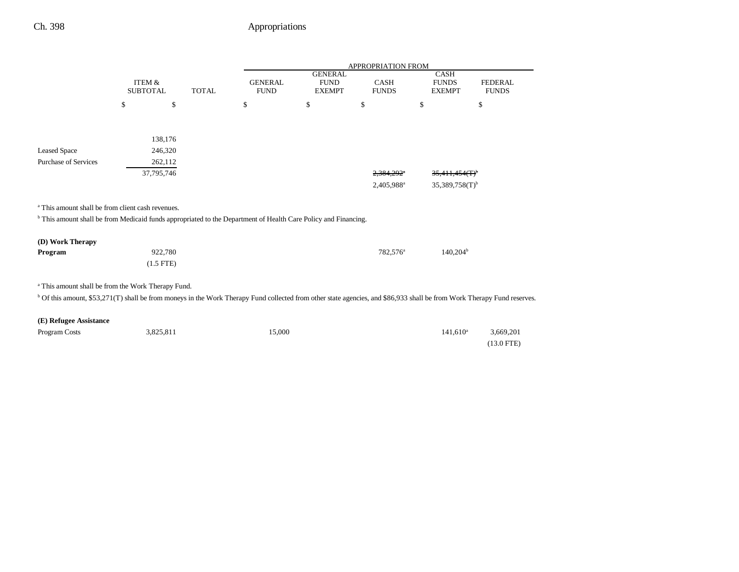|                                                                                                                                                                                    |                                      |                |              |                               |                                                | <b>APPROPRIATION FROM</b>   |                                              |                                |
|------------------------------------------------------------------------------------------------------------------------------------------------------------------------------------|--------------------------------------|----------------|--------------|-------------------------------|------------------------------------------------|-----------------------------|----------------------------------------------|--------------------------------|
|                                                                                                                                                                                    | <b>ITEM &amp;</b><br><b>SUBTOTAL</b> |                | <b>TOTAL</b> | <b>GENERAL</b><br><b>FUND</b> | <b>GENERAL</b><br><b>FUND</b><br><b>EXEMPT</b> | <b>CASH</b><br><b>FUNDS</b> | <b>CASH</b><br><b>FUNDS</b><br><b>EXEMPT</b> | <b>FEDERAL</b><br><b>FUNDS</b> |
|                                                                                                                                                                                    | \$                                   | \$             |              | \$                            | \$                                             | \$                          | \$                                           | \$                             |
|                                                                                                                                                                                    |                                      |                |              |                               |                                                |                             |                                              |                                |
|                                                                                                                                                                                    |                                      | 138,176        |              |                               |                                                |                             |                                              |                                |
| <b>Leased Space</b>                                                                                                                                                                |                                      | 246,320        |              |                               |                                                |                             |                                              |                                |
| <b>Purchase of Services</b>                                                                                                                                                        |                                      | 262,112        |              |                               |                                                |                             |                                              |                                |
|                                                                                                                                                                                    |                                      | 37,795,746     |              |                               |                                                | 2,384,292*                  | 35,411,454(T)                                |                                |
|                                                                                                                                                                                    |                                      |                |              |                               |                                                | 2,405,988 <sup>a</sup>      | $35,389,758(T)$ <sup>b</sup>                 |                                |
|                                                                                                                                                                                    |                                      |                |              |                               |                                                |                             |                                              |                                |
| <sup>a</sup> This amount shall be from client cash revenues.                                                                                                                       |                                      |                |              |                               |                                                |                             |                                              |                                |
| <sup>b</sup> This amount shall be from Medicaid funds appropriated to the Department of Health Care Policy and Financing.                                                          |                                      |                |              |                               |                                                |                             |                                              |                                |
| (D) Work Therapy                                                                                                                                                                   |                                      |                |              |                               |                                                |                             |                                              |                                |
| Program                                                                                                                                                                            |                                      | 922,780        |              |                               |                                                | 782,576 <sup>a</sup>        | $140,204^{\rm b}$                            |                                |
|                                                                                                                                                                                    |                                      | $(1.5$ FTE $)$ |              |                               |                                                |                             |                                              |                                |
|                                                                                                                                                                                    |                                      |                |              |                               |                                                |                             |                                              |                                |
| <sup>a</sup> This amount shall be from the Work Therapy Fund.                                                                                                                      |                                      |                |              |                               |                                                |                             |                                              |                                |
| <sup>b</sup> Of this amount, \$53,271(T) shall be from moneys in the Work Therapy Fund collected from other state agencies, and \$86,933 shall be from Work Therapy Fund reserves. |                                      |                |              |                               |                                                |                             |                                              |                                |
| (E) Refugee Assistance                                                                                                                                                             |                                      |                |              |                               |                                                |                             |                                              |                                |
| Program Costs                                                                                                                                                                      |                                      | 3,825,811      |              | 15,000                        |                                                |                             | $141,610^a$                                  | 3,669,201                      |
|                                                                                                                                                                                    |                                      |                |              |                               |                                                |                             |                                              | $(13.0$ FTE)                   |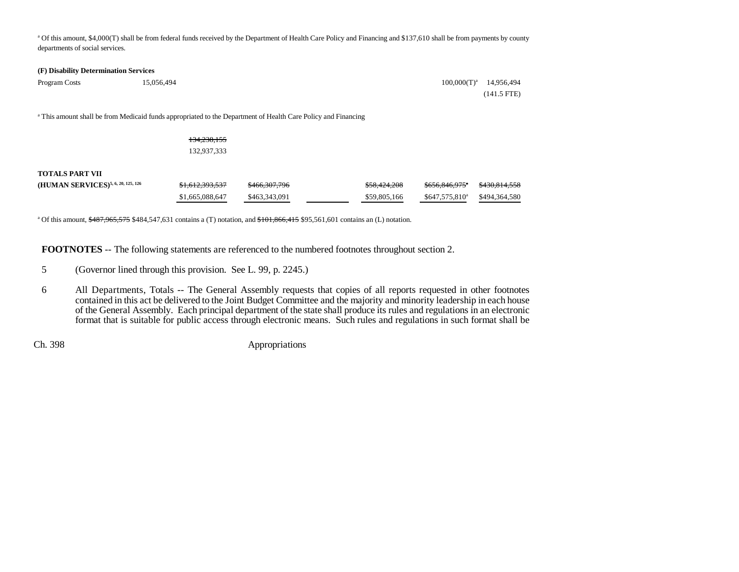<sup>a</sup> Of this amount, \$4,000(T) shall be from federal funds received by the Department of Health Care Policy and Financing and \$137,610 shall be from payments by county departments of social services.

### **(F) Disability Determination Services**

| Program Costs | 15.056.494 | $100,000(T)^a$ 14,956,494 |               |
|---------------|------------|---------------------------|---------------|
|               |            |                           | $(141.5$ FTE) |

a This amount shall be from Medicaid funds appropriated to the Department of Health Care Policy and Financing

|                                                | 134,238,155     |                          |              |                             |               |
|------------------------------------------------|-----------------|--------------------------|--------------|-----------------------------|---------------|
|                                                | 132,937,333     |                          |              |                             |               |
| TOTALS PART VII                                |                 |                          |              |                             |               |
| (HUMAN SERVICES) <sup>5, 6, 20, 125, 126</sup> | \$1,612,393,537 | <del>\$466,307,796</del> | \$58,424,208 | $$656,846,975$ <sup>*</sup> | \$430,814,558 |
|                                                | \$1,665,088,647 | \$463,343,091            | \$59,805,166 | $$647,575,810^a$            | \$494,364,580 |

<sup>a</sup> Of this amount,  $\frac{$487,965,575}{$484,547,631}$  contains a (T) notation, and  $\$101,866,415$  \$95,561,601 contains an (L) notation.

**FOOTNOTES** -- The following statements are referenced to the numbered footnotes throughout section 2.

- 5 (Governor lined through this provision. See L. 99, p. 2245.)
- 6 All Departments, Totals -- The General Assembly requests that copies of all reports requested in other footnotes contained in this act be delivered to the Joint Budget Committee and the majority and minority leadership in each house of the General Assembly. Each principal department of the state shall produce its rules and regulations in an electronic format that is suitable for public access through electronic means. Such rules and regulations in such format shall be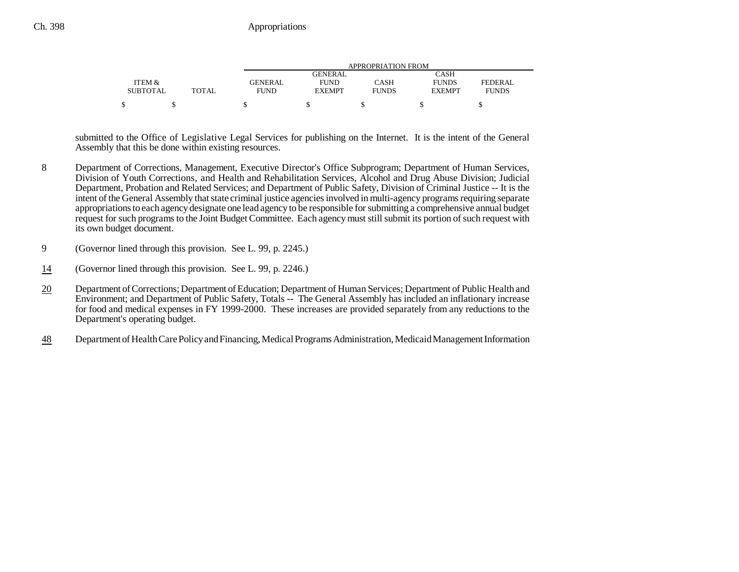|                 |              |             | APPROPRIATION FROM |              |               |              |  |  |  |
|-----------------|--------------|-------------|--------------------|--------------|---------------|--------------|--|--|--|
|                 |              |             | GENERAL            |              | CASH          |              |  |  |  |
| ITEM &          |              | GENERAL     | <b>FUND</b>        | CASH         | <b>FUNDS</b>  | FEDERAL      |  |  |  |
| <b>SUBTOTAL</b> | <b>TOTAL</b> | <b>FUND</b> | <b>EXEMPT</b>      | <b>FUNDS</b> | <b>EXEMPT</b> | <b>FUNDS</b> |  |  |  |
|                 |              |             |                    |              |               |              |  |  |  |

submitted to the Office of Legislative Legal Services for publishing on the Internet. It is the intent of the General Assembly that this be done within existing resources.

- 8 Department of Corrections, Management, Executive Director's Office Subprogram; Department of Human Services, Division of Youth Corrections, and Health and Rehabilitation Services, Alcohol and Drug Abuse Division; Judicial Department, Probation and Related Services; and Department of Public Safety, Division of Criminal Justice -- It is the intent of the General Assembly that state criminal justice agencies involved in multi-agency programs requiring separate appropriations to each agency designate one lead agency to be responsible for submitting a comprehensive annual budget request for such programs to the Joint Budget Committee. Each agency must still submit its portion of such request with its own budget document.
- 9 (Governor lined through this provision. See L. 99, p. 2245.)
- 14(Governor lined through this provision. See L. 99, p. 2246.)
- 20 Department of Corrections; Department of Education; Department of Human Services; Department of Public Health and Environment; and Department of Public Safety, Totals -- The General Assembly has included an inflationary increase for food and medical expenses in FY 1999-2000. These increases are provided separately from any reductions to the Department's operating budget.
- 48Department of Health Care Policy and Financing, Medical Programs Administration, Medicaid Management Information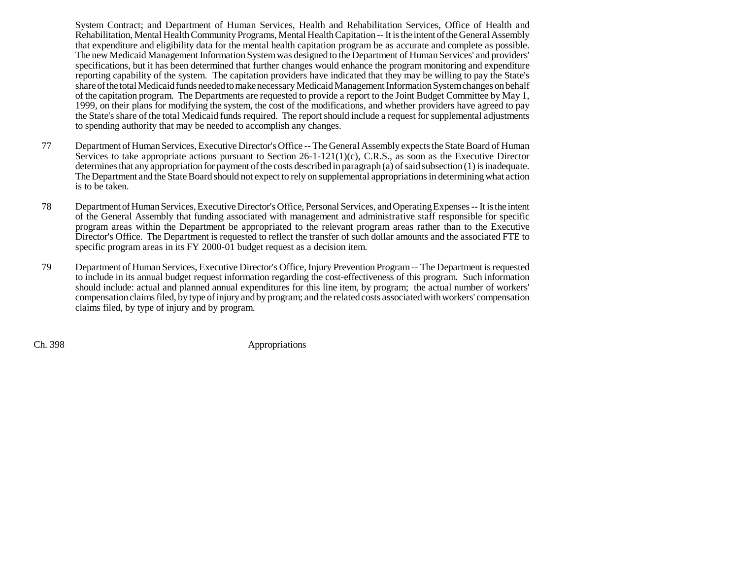System Contract; and Department of Human Services, Health and Rehabilitation Services, Office of Health and Rehabilitation, Mental Health Community Programs, Mental Health Capitation -- It is the intent of the General Assembly that expenditure and eligibility data for the mental health capitation program be as accurate and complete as possible. The new Medicaid Management Information System was designed to the Department of Human Services' and providers' specifications, but it has been determined that further changes would enhance the program monitoring and expenditure reporting capability of the system. The capitation providers have indicated that they may be willing to pay the State's share of the total Medicaid funds needed to make necessary Medicaid Management Information System changes on behalf of the capitation program. The Departments are requested to provide a report to the Joint Budget Committee by May 1, 1999, on their plans for modifying the system, the cost of the modifications, and whether providers have agreed to pay the State's share of the total Medicaid funds required. The report should include a request for supplemental adjustments to spending authority that may be needed to accomplish any changes.

- 77 Department of Human Services, Executive Director's Office -- The General Assembly expects the State Board of Human Services to take appropriate actions pursuant to Section  $26-1-121(1)(c)$ , C.R.S., as soon as the Executive Director determines that any appropriation for payment of the costs described in paragraph (a) of said subsection (1) is inadequate. The Department and the State Board should not expect to rely on supplemental appropriations in determining what action is to be taken.
- 78 Department of Human Services, Executive Director's Office, Personal Services, and Operating Expenses -- It is the intent of the General Assembly that funding associated with management and administrative staff responsible for specific program areas within the Department be appropriated to the relevant program areas rather than to the Executive Director's Office. The Department is requested to reflect the transfer of such dollar amounts and the associated FTE to specific program areas in its FY 2000-01 budget request as a decision item.
- 79 Department of Human Services, Executive Director's Office, Injury Prevention Program -- The Department is requested to include in its annual budget request information regarding the cost-effectiveness of this program. Such information should include: actual and planned annual expenditures for this line item, by program; the actual number of workers' compensation claims filed, by type of injury and by program; and the related costs associated with workers' compensation claims filed, by type of injury and by program.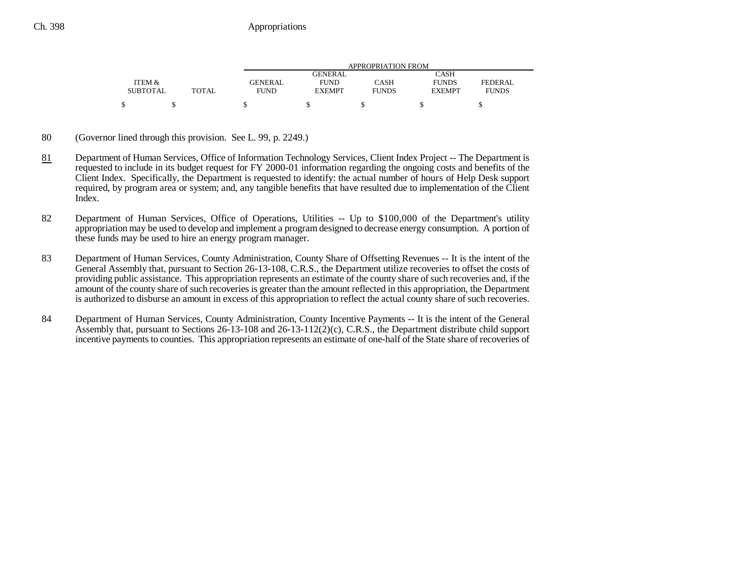|                 |              |             | APPROPRIATION FROM |              |               |              |  |  |  |
|-----------------|--------------|-------------|--------------------|--------------|---------------|--------------|--|--|--|
|                 |              |             | GENERAL            |              | CASH          |              |  |  |  |
| ITEM &          |              | GENERAL     | <b>FUND</b>        | CASH         | <b>FUNDS</b>  | FEDERAL.     |  |  |  |
| <b>SUBTOTAL</b> | <b>TOTAL</b> | <b>FUND</b> | <b>EXEMPT</b>      | <b>FUNDS</b> | <b>EXEMPT</b> | <b>FUNDS</b> |  |  |  |
|                 |              |             |                    |              |               |              |  |  |  |

- 80 (Governor lined through this provision. See L. 99, p. 2249.)
- 81 Department of Human Services, Office of Information Technology Services, Client Index Project -- The Department is requested to include in its budget request for FY 2000-01 information regarding the ongoing costs and benefits of the Client Index. Specifically, the Department is requested to identify: the actual number of hours of Help Desk support required, by program area or system; and, any tangible benefits that have resulted due to implementation of the Client Index.
- 82 Department of Human Services, Office of Operations, Utilities -- Up to \$100,000 of the Department's utility appropriation may be used to develop and implement a program designed to decrease energy consumption. A portion of these funds may be used to hire an energy program manager.
- 83 Department of Human Services, County Administration, County Share of Offsetting Revenues -- It is the intent of the General Assembly that, pursuant to Section 26-13-108, C.R.S., the Department utilize recoveries to offset the costs of providing public assistance. This appropriation represents an estimate of the county share of such recoveries and, if the amount of the county share of such recoveries is greater than the amount reflected in this appropriation, the Department is authorized to disburse an amount in excess of this appropriation to reflect the actual county share of such recoveries.
- 84 Department of Human Services, County Administration, County Incentive Payments -- It is the intent of the General Assembly that, pursuant to Sections 26-13-108 and 26-13-112(2)(c), C.R.S., the Department distribute child support incentive payments to counties. This appropriation represents an estimate of one-half of the State share of recoveries of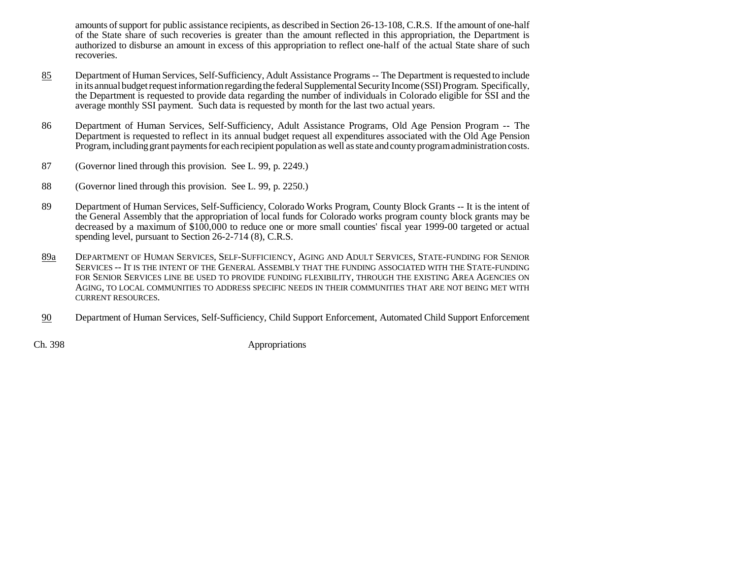amounts of support for public assistance recipients, as described in Section 26-13-108, C.R.S. If the amount of one-half of the State share of such recoveries is greater than the amount reflected in this appropriation, the Department is authorized to disburse an amount in excess of this appropriation to reflect one-half of the actual State share of such recoveries.

- 85 Department of Human Services, Self-Sufficiency, Adult Assistance Programs -- The Department is requested to include in its annual budget request information regarding the federal Supplemental Security Income (SSI) Program. Specifically, the Department is requested to provide data regarding the number of individuals in Colorado eligible for SSI and the average monthly SSI payment. Such data is requested by month for the last two actual years.
- 86 Department of Human Services, Self-Sufficiency, Adult Assistance Programs, Old Age Pension Program -- The Department is requested to reflect in its annual budget request all expenditures associated with the Old Age Pension Program, including grant payments for each recipient population as well as state and county program administration costs.
- 87 (Governor lined through this provision. See L. 99, p. 2249.)
- 88 (Governor lined through this provision. See L. 99, p. 2250.)
- 89 Department of Human Services, Self-Sufficiency, Colorado Works Program, County Block Grants -- It is the intent of the General Assembly that the appropriation of local funds for Colorado works program county block grants may be decreased by a maximum of \$100,000 to reduce one or more small counties' fiscal year 1999-00 targeted or actual spending level, pursuant to Section 26-2-714 (8), C.R.S.
- 89a DEPARTMENT OF HUMAN SERVICES, SELF-SUFFICIENCY, AGING AND ADULT SERVICES, STATE-FUNDING FOR SENIOR Services -- It is the intent of the General Assembly that the funding associated with the State-funding FOR SENIOR SERVICES LINE BE USED TO PROVIDE FUNDING FLEXIBILITY, THROUGH THE EXISTING AREA AGENCIES ONAGING, TO LOCAL COMMUNITIES TO ADDRESS SPECIFIC NEEDS IN THEIR COMMUNITIES THAT ARE NOT BEING MET WITH CURRENT RESOURCES.
- 90Department of Human Services, Self-Sufficiency, Child Support Enforcement, Automated Child Support Enforcement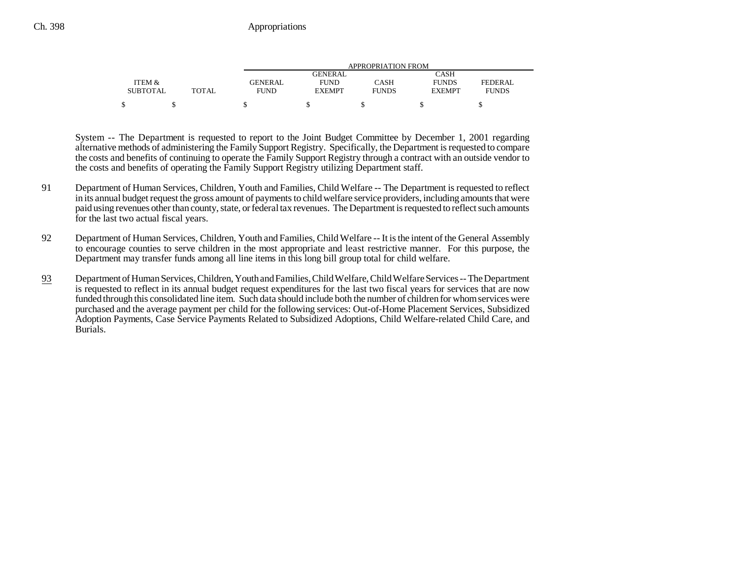|                 |              |             | APPROPRIATION FROM |              |               |              |  |  |  |
|-----------------|--------------|-------------|--------------------|--------------|---------------|--------------|--|--|--|
|                 |              |             | GENERAL            |              | CASH          |              |  |  |  |
| ITEM &          |              | GENERAL     | <b>FUND</b>        | CASH         | <b>FUNDS</b>  | FEDERAL      |  |  |  |
| <b>SUBTOTAL</b> | <b>TOTAL</b> | <b>FUND</b> | <b>EXEMPT</b>      | <b>FUNDS</b> | <b>EXEMPT</b> | <b>FUNDS</b> |  |  |  |
|                 |              |             |                    |              |               |              |  |  |  |

System -- The Department is requested to report to the Joint Budget Committee by December 1, 2001 regarding alternative methods of administering the Family Support Registry. Specifically, the Department is requested to compare the costs and benefits of continuing to operate the Family Support Registry through a contract with an outside vendor to the costs and benefits of operating the Family Support Registry utilizing Department staff.

- 91 Department of Human Services, Children, Youth and Families, Child Welfare -- The Department is requested to reflect in its annual budget request the gross amount of payments to child welfare service providers, including amounts that were paid using revenues other than county, state, or federal tax revenues. The Department is requested to reflect such amounts for the last two actual fiscal years.
- 92 Department of Human Services, Children, Youth and Families, Child Welfare -- It is the intent of the General Assembly to encourage counties to serve children in the most appropriate and least restrictive manner. For this purpose, the Department may transfer funds among all line items in this long bill group total for child welfare.
- 93 Department of Human Services, Children, Youth and Families, Child Welfare, Child Welfare Services -- The Department is requested to reflect in its annual budget request expenditures for the last two fiscal years for services that are now funded through this consolidated line item. Such data should include both the number of children for whom services were purchased and the average payment per child for the following services: Out-of-Home Placement Services, Subsidized Adoption Payments, Case Service Payments Related to Subsidized Adoptions, Child Welfare-related Child Care, and Burials.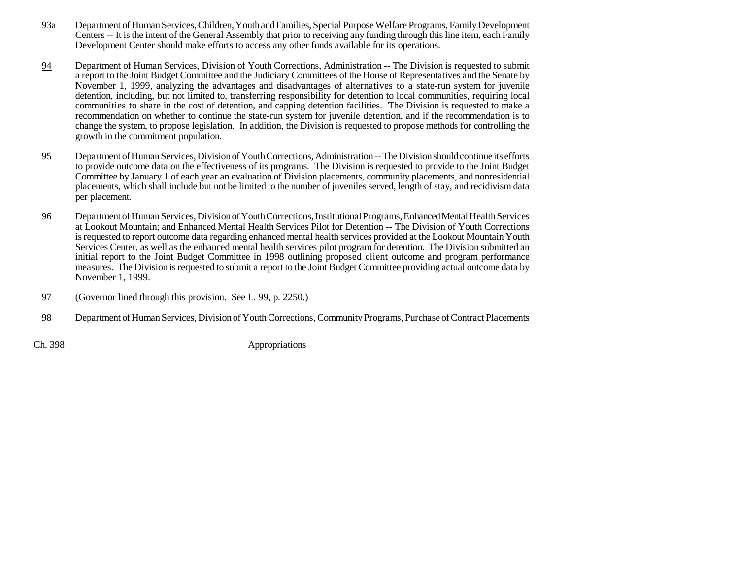- 93a Department of Human Services, Children, Youth and Families, Special Purpose Welfare Programs, Family Development Centers -- It is the intent of the General Assembly that prior to receiving any funding through this line item, each Family Development Center should make efforts to access any other funds available for its operations.
- 94 Department of Human Services, Division of Youth Corrections, Administration -- The Division is requested to submit a report to the Joint Budget Committee and the Judiciary Committees of the House of Representatives and the Senate by November 1, 1999, analyzing the advantages and disadvantages of alternatives to a state-run system for juvenile detention, including, but not limited to, transferring responsibility for detention to local communities, requiring local communities to share in the cost of detention, and capping detention facilities. The Division is requested to make a recommendation on whether to continue the state-run system for juvenile detention, and if the recommendation is to change the system, to propose legislation. In addition, the Division is requested to propose methods for controlling the growth in the commitment population.
- 95 Department of Human Services, Division of Youth Corrections, Administration -- The Division should continue its efforts to provide outcome data on the effectiveness of its programs. The Division is requested to provide to the Joint Budget Committee by January 1 of each year an evaluation of Division placements, community placements, and nonresidential placements, which shall include but not be limited to the number of juveniles served, length of stay, and recidivism data per placement.
- 96 Department of Human Services, Division of Youth Corrections, Institutional Programs, Enhanced Mental Health Services at Lookout Mountain; and Enhanced Mental Health Services Pilot for Detention -- The Division of Youth Corrections is requested to report outcome data regarding enhanced mental health services provided at the Lookout Mountain Youth Services Center, as well as the enhanced mental health services pilot program for detention. The Division submitted an initial report to the Joint Budget Committee in 1998 outlining proposed client outcome and program performance measures. The Division is requested to submit a report to the Joint Budget Committee providing actual outcome data by November 1, 1999.
- 97(Governor lined through this provision. See L. 99, p. 2250.)
- 98Department of Human Services, Division of Youth Corrections, Community Programs, Purchase of Contract Placements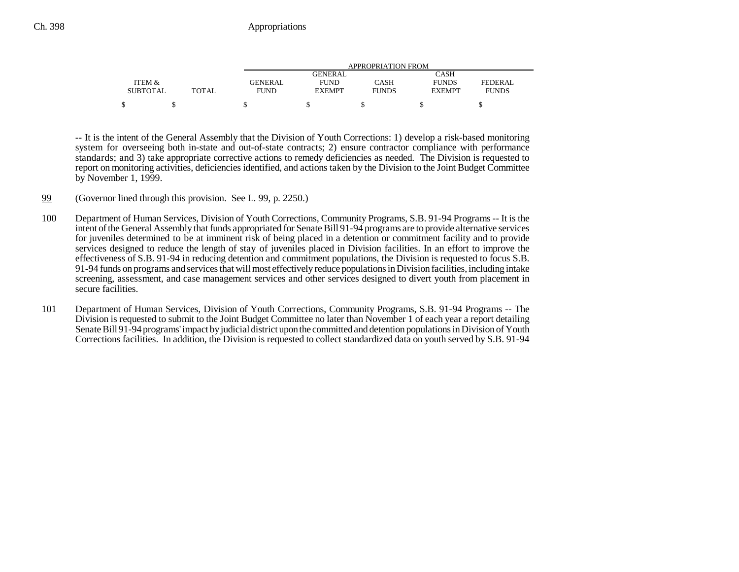|                 |              |             | APPROPRIATION FROM |              |               |              |  |  |
|-----------------|--------------|-------------|--------------------|--------------|---------------|--------------|--|--|
|                 |              |             | GENERAL            |              | CASH          |              |  |  |
| ITEM &          |              | GENERAL     | <b>FUND</b>        | CASH         | <b>FUNDS</b>  | FEDERAL.     |  |  |
| <b>SUBTOTAL</b> | <b>TOTAL</b> | <b>FUND</b> | <b>EXEMPT</b>      | <b>FUNDS</b> | <b>EXEMPT</b> | <b>FUNDS</b> |  |  |
|                 |              |             |                    |              |               |              |  |  |

-- It is the intent of the General Assembly that the Division of Youth Corrections: 1) develop a risk-based monitoring system for overseeing both in-state and out-of-state contracts; 2) ensure contractor compliance with performance standards; and 3) take appropriate corrective actions to remedy deficiencies as needed. The Division is requested to report on monitoring activities, deficiencies identified, and actions taken by the Division to the Joint Budget Committee by November 1, 1999.

- 99(Governor lined through this provision. See L. 99, p. 2250.)
- 100 Department of Human Services, Division of Youth Corrections, Community Programs, S.B. 91-94 Programs -- It is the intent of the General Assembly that funds appropriated for Senate Bill 91-94 programs are to provide alternative services for juveniles determined to be at imminent risk of being placed in a detention or commitment facility and to provide services designed to reduce the length of stay of juveniles placed in Division facilities. In an effort to improve the effectiveness of S.B. 91-94 in reducing detention and commitment populations, the Division is requested to focus S.B. 91-94 funds on programs and services that will most effectively reduce populations in Division facilities, including intake screening, assessment, and case management services and other services designed to divert youth from placement in secure facilities.
- 101 Department of Human Services, Division of Youth Corrections, Community Programs, S.B. 91-94 Programs -- The Division is requested to submit to the Joint Budget Committee no later than November 1 of each year a report detailing Senate Bill 91-94 programs' impact by judicial district upon the committed and detention populations in Division of Youth Corrections facilities. In addition, the Division is requested to collect standardized data on youth served by S.B. 91-94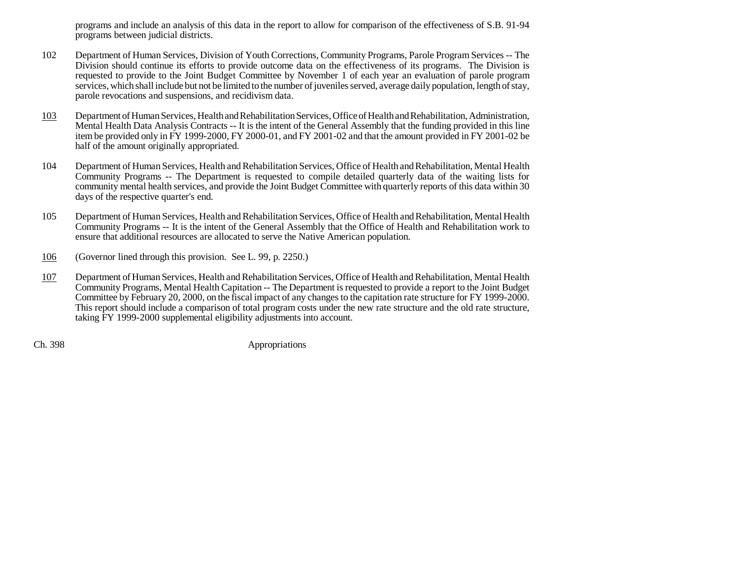programs and include an analysis of this data in the report to allow for comparison of the effectiveness of S.B. 91-94 programs between judicial districts.

- 102 Department of Human Services, Division of Youth Corrections, Community Programs, Parole Program Services -- The Division should continue its efforts to provide outcome data on the effectiveness of its programs. The Division is requested to provide to the Joint Budget Committee by November 1 of each year an evaluation of parole program services, which shall include but not be limited to the number of juveniles served, average daily population, length of stay, parole revocations and suspensions, and recidivism data.
- 103 Department of Human Services, Health and Rehabilitation Services, Office of Health and Rehabilitation, Administration, Mental Health Data Analysis Contracts -- It is the intent of the General Assembly that the funding provided in this line item be provided only in FY 1999-2000, FY 2000-01, and FY 2001-02 and that the amount provided in FY 2001-02 be half of the amount originally appropriated.
- 104 Department of Human Services, Health and Rehabilitation Services, Office of Health and Rehabilitation, Mental Health Community Programs -- The Department is requested to compile detailed quarterly data of the waiting lists for community mental health services, and provide the Joint Budget Committee with quarterly reports of this data within 30 days of the respective quarter's end.
- 105 Department of Human Services, Health and Rehabilitation Services, Office of Health and Rehabilitation, Mental Health Community Programs -- It is the intent of the General Assembly that the Office of Health and Rehabilitation work to ensure that additional resources are allocated to serve the Native American population.
- 106(Governor lined through this provision. See L. 99, p. 2250.)
- 107 Department of Human Services, Health and Rehabilitation Services, Office of Health and Rehabilitation, Mental Health Community Programs, Mental Health Capitation -- The Department is requested to provide a report to the Joint Budget Committee by February 20, 2000, on the fiscal impact of any changes to the capitation rate structure for FY 1999-2000. This report should include a comparison of total program costs under the new rate structure and the old rate structure, taking FY 1999-2000 supplemental eligibility adjustments into account.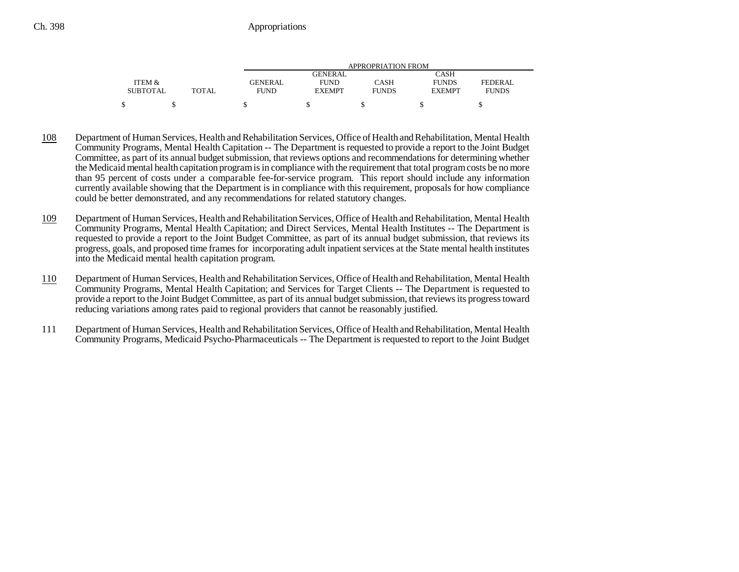|                 |       |                | APPROPRIATION FROM |              |               |              |  |  |
|-----------------|-------|----------------|--------------------|--------------|---------------|--------------|--|--|
|                 |       |                | GENERAL            |              | CASH          |              |  |  |
| ITEM &          |       | <b>GENERAL</b> | <b>FUND</b>        | CASH         | <b>FUNDS</b>  | FEDERAL      |  |  |
| <b>SUBTOTAL</b> | TOTAL | <b>FUND</b>    | <b>EXEMPT</b>      | <b>FUNDS</b> | <b>EXEMPT</b> | <b>FUNDS</b> |  |  |
|                 |       |                |                    |              |               |              |  |  |

- 108 Department of Human Services, Health and Rehabilitation Services, Office of Health and Rehabilitation, Mental Health Community Programs, Mental Health Capitation -- The Department is requested to provide a report to the Joint Budget Committee, as part of its annual budget submission, that reviews options and recommendations for determining whether the Medicaid mental health capitation program is in compliance with the requirement that total program costs be no more than 95 percent of costs under a comparable fee-for-service program. This report should include any information currently available showing that the Department is in compliance with this requirement, proposals for how compliance could be better demonstrated, and any recommendations for related statutory changes.
- 109 Department of Human Services, Health and Rehabilitation Services, Office of Health and Rehabilitation, Mental Health Community Programs, Mental Health Capitation; and Direct Services, Mental Health Institutes -- The Department is requested to provide a report to the Joint Budget Committee, as part of its annual budget submission, that reviews its progress, goals, and proposed time frames for incorporating adult inpatient services at the State mental health institutes into the Medicaid mental health capitation program.
- 110 Department of Human Services, Health and Rehabilitation Services, Office of Health and Rehabilitation, Mental Health Community Programs, Mental Health Capitation; and Services for Target Clients -- The Department is requested to provide a report to the Joint Budget Committee, as part of its annual budget submission, that reviews its progress toward reducing variations among rates paid to regional providers that cannot be reasonably justified.
- 111 Department of Human Services, Health and Rehabilitation Services, Office of Health and Rehabilitation, Mental Health Community Programs, Medicaid Psycho-Pharmaceuticals -- The Department is requested to report to the Joint Budget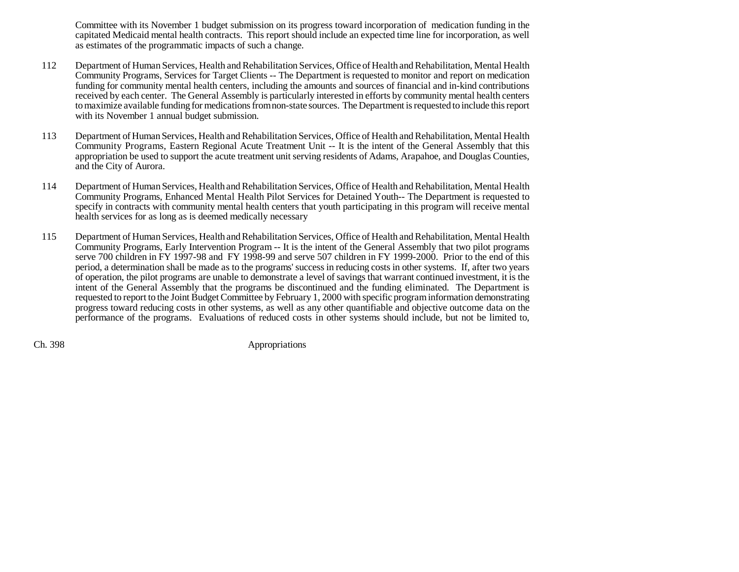Committee with its November 1 budget submission on its progress toward incorporation of medication funding in the capitated Medicaid mental health contracts. This report should include an expected time line for incorporation, as well as estimates of the programmatic impacts of such a change.

- 112 Department of Human Services, Health and Rehabilitation Services, Office of Health and Rehabilitation, Mental Health Community Programs, Services for Target Clients -- The Department is requested to monitor and report on medication funding for community mental health centers, including the amounts and sources of financial and in-kind contributions received by each center. The General Assembly is particularly interested in efforts by community mental health centers to maximize available funding for medications from non-state sources. The Department is requested to include this report with its November 1 annual budget submission.
- 113 Department of Human Services, Health and Rehabilitation Services, Office of Health and Rehabilitation, Mental Health Community Programs, Eastern Regional Acute Treatment Unit -- It is the intent of the General Assembly that this appropriation be used to support the acute treatment unit serving residents of Adams, Arapahoe, and Douglas Counties, and the City of Aurora.
- 114 Department of Human Services, Health and Rehabilitation Services, Office of Health and Rehabilitation, Mental Health Community Programs, Enhanced Mental Health Pilot Services for Detained Youth-- The Department is requested to specify in contracts with community mental health centers that youth participating in this program will receive mental health services for as long as is deemed medically necessary
- 115 Department of Human Services, Health and Rehabilitation Services, Office of Health and Rehabilitation, Mental Health Community Programs, Early Intervention Program -- It is the intent of the General Assembly that two pilot programs serve 700 children in FY 1997-98 and FY 1998-99 and serve 507 children in FY 1999-2000. Prior to the end of this period, a determination shall be made as to the programs' success in reducing costs in other systems. If, after two years of operation, the pilot programs are unable to demonstrate a level of savings that warrant continued investment, it is the intent of the General Assembly that the programs be discontinued and the funding eliminated. The Department is requested to report to the Joint Budget Committee by February 1, 2000 with specific program information demonstrating progress toward reducing costs in other systems, as well as any other quantifiable and objective outcome data on the performance of the programs. Evaluations of reduced costs in other systems should include, but not be limited to,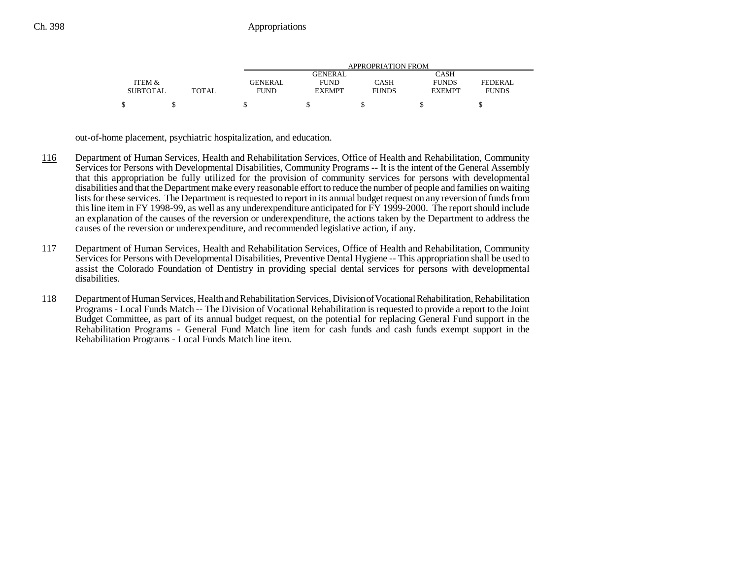|                 |              |                | APPROPRIATION FROM |              |               |                |  |  |
|-----------------|--------------|----------------|--------------------|--------------|---------------|----------------|--|--|
|                 |              |                | <b>GENERAL</b>     |              | CASH          |                |  |  |
| ITEM &          |              | <b>GENERAL</b> | <b>FUND</b>        | CASH         | <b>FUNDS</b>  | <b>FEDERAL</b> |  |  |
| <b>SUBTOTAL</b> | <b>TOTAL</b> | <b>FUND</b>    | <b>EXEMPT</b>      | <b>FUNDS</b> | <b>EXEMPT</b> | <b>FUNDS</b>   |  |  |
|                 |              |                |                    |              |               |                |  |  |

out-of-home placement, psychiatric hospitalization, and education.

- 116 Department of Human Services, Health and Rehabilitation Services, Office of Health and Rehabilitation, Community Services for Persons with Developmental Disabilities, Community Programs -- It is the intent of the General Assembly that this appropriation be fully utilized for the provision of community services for persons with developmental disabilities and that the Department make every reasonable effort to reduce the number of people and families on waiting lists for these services. The Department is requested to report in its annual budget request on any reversion of funds from this line item in FY 1998-99, as well as any underexpenditure anticipated for FY 1999-2000. The report should include an explanation of the causes of the reversion or underexpenditure, the actions taken by the Department to address the causes of the reversion or underexpenditure, and recommended legislative action, if any.
- 117 Department of Human Services, Health and Rehabilitation Services, Office of Health and Rehabilitation, Community Services for Persons with Developmental Disabilities, Preventive Dental Hygiene -- This appropriation shall be used to assist the Colorado Foundation of Dentistry in providing special dental services for persons with developmental disabilities.
- 118 Department of Human Services, Health and Rehabilitation Services, Division of Vocational Rehabilitation, Rehabilitation Programs - Local Funds Match -- The Division of Vocational Rehabilitation is requested to provide a report to the Joint Budget Committee, as part of its annual budget request, on the potential for replacing General Fund support in the Rehabilitation Programs - General Fund Match line item for cash funds and cash funds exempt support in the Rehabilitation Programs - Local Funds Match line item.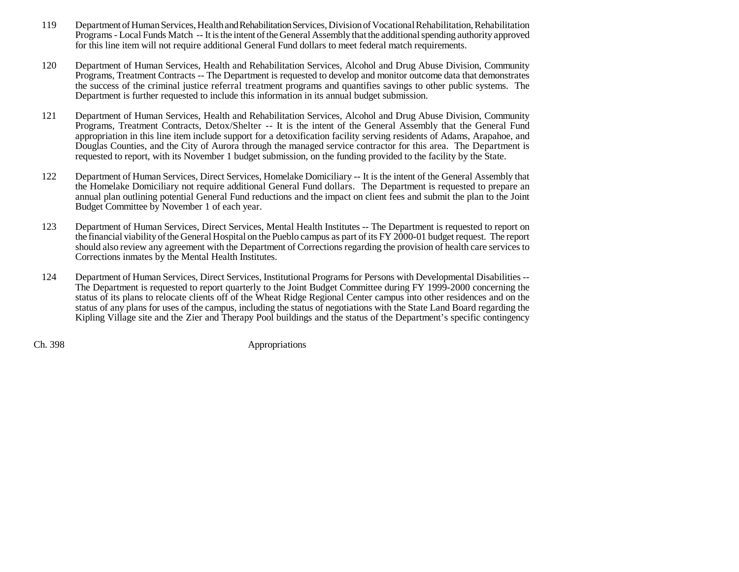- 119 Department of Human Services, Health and Rehabilitation Services, Division of Vocational Rehabilitation, Rehabilitation Programs - Local Funds Match -- It is the intent of the General Assembly that the additional spending authority approved for this line item will not require additional General Fund dollars to meet federal match requirements.
- 120 Department of Human Services, Health and Rehabilitation Services, Alcohol and Drug Abuse Division, Community Programs, Treatment Contracts -- The Department is requested to develop and monitor outcome data that demonstrates the success of the criminal justice referral treatment programs and quantifies savings to other public systems. The Department is further requested to include this information in its annual budget submission.
- 121 Department of Human Services, Health and Rehabilitation Services, Alcohol and Drug Abuse Division, Community Programs, Treatment Contracts, Detox/Shelter -- It is the intent of the General Assembly that the General Fund appropriation in this line item include support for a detoxification facility serving residents of Adams, Arapahoe, and Douglas Counties, and the City of Aurora through the managed service contractor for this area. The Department is requested to report, with its November 1 budget submission, on the funding provided to the facility by the State.
- 122 Department of Human Services, Direct Services, Homelake Domiciliary -- It is the intent of the General Assembly that the Homelake Domiciliary not require additional General Fund dollars. The Department is requested to prepare an annual plan outlining potential General Fund reductions and the impact on client fees and submit the plan to the Joint Budget Committee by November 1 of each year.
- 123 Department of Human Services, Direct Services, Mental Health Institutes -- The Department is requested to report on the financial viability of the General Hospital on the Pueblo campus as part of its FY 2000-01 budget request. The report should also review any agreement with the Department of Corrections regarding the provision of health care services to Corrections inmates by the Mental Health Institutes.
- 124 Department of Human Services, Direct Services, Institutional Programs for Persons with Developmental Disabilities -- The Department is requested to report quarterly to the Joint Budget Committee during FY 1999-2000 concerning the status of its plans to relocate clients off of the Wheat Ridge Regional Center campus into other residences and on the status of any plans for uses of the campus, including the status of negotiations with the State Land Board regarding the Kipling Village site and the Zier and Therapy Pool buildings and the status of the Department's specific contingency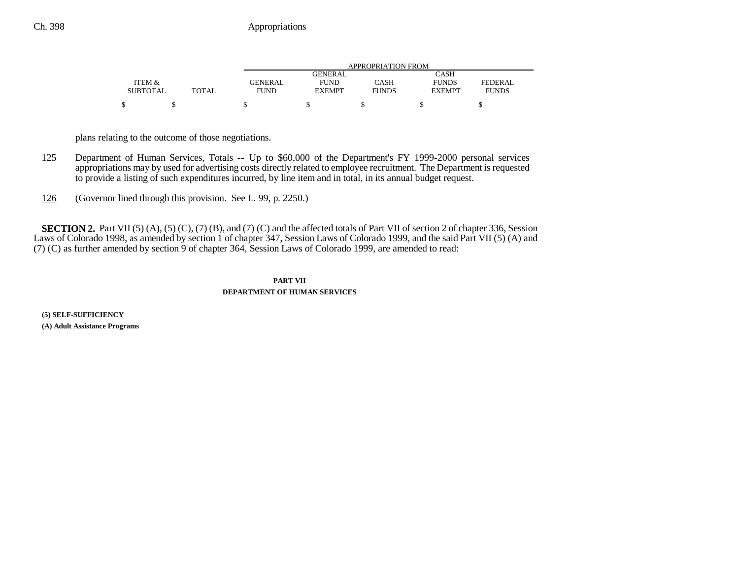|                 |              | APPROPRIATION FROM |               |              |               |                |  |
|-----------------|--------------|--------------------|---------------|--------------|---------------|----------------|--|
|                 |              |                    | GENERAL       |              | CASH          |                |  |
| ITEM &          |              | <b>GENERAL</b>     | <b>FUND</b>   | CASH         | <b>FUNDS</b>  | <b>FEDERAL</b> |  |
| <b>SUBTOTAL</b> | <b>TOTAL</b> | <b>FUND</b>        | <b>EXEMPT</b> | <b>FUNDS</b> | <b>EXEMPT</b> | <b>FUNDS</b>   |  |
|                 |              |                    |               |              |               |                |  |
|                 |              |                    |               |              |               |                |  |

plans relating to the outcome of those negotiations.

- 125 Department of Human Services, Totals -- Up to \$60,000 of the Department's FY 1999-2000 personal services appropriations may by used for advertising costs directly related to employee recruitment. The Department is requested to provide a listing of such expenditures incurred, by line item and in total, in its annual budget request.
- 126(Governor lined through this provision. See L. 99, p. 2250.)

**SECTION 2.** Part VII (5) (A), (5) (C), (7) (B), and (7) (C) and the affected totals of Part VII of section 2 of chapter 336, Session Laws of Colorado 1998, as amended by section 1 of chapter 347, Session Laws of Colorado 1999, and the said Part VII (5) (A) and (7) (C) as further amended by section 9 of chapter 364, Session Laws of Colorado 1999, are amended to read:

## **PART VIIDEPARTMENT OF HUMAN SERVICES**

**(5) SELF-SUFFICIENCY (A) Adult Assistance Programs**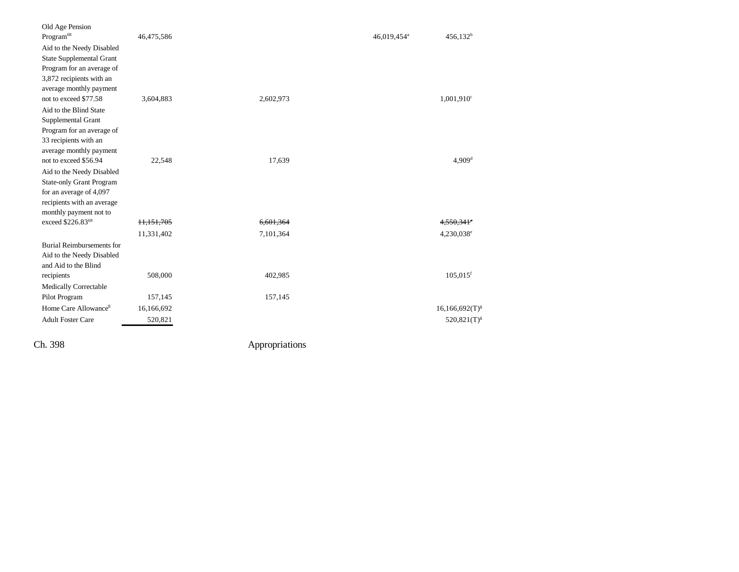| Old Age Pension                  |            |           |                         |                          |
|----------------------------------|------------|-----------|-------------------------|--------------------------|
| Program <sup>68</sup>            | 46,475,586 |           | 46,019,454 <sup>a</sup> | $456,132^b$              |
| Aid to the Needy Disabled        |            |           |                         |                          |
| <b>State Supplemental Grant</b>  |            |           |                         |                          |
| Program for an average of        |            |           |                         |                          |
| 3,872 recipients with an         |            |           |                         |                          |
| average monthly payment          |            |           |                         |                          |
| not to exceed \$77.58            | 3,604,883  | 2,602,973 |                         | 1,001,910 <sup>c</sup>   |
| Aid to the Blind State           |            |           |                         |                          |
| Supplemental Grant               |            |           |                         |                          |
| Program for an average of        |            |           |                         |                          |
| 33 recipients with an            |            |           |                         |                          |
| average monthly payment          |            |           |                         |                          |
| not to exceed \$56.94            | 22,548     | 17,639    |                         | 4,909 <sup>d</sup>       |
| Aid to the Needy Disabled        |            |           |                         |                          |
| <b>State-only Grant Program</b>  |            |           |                         |                          |
| for an average of 4,097          |            |           |                         |                          |
| recipients with an average       |            |           |                         |                          |
| monthly payment not to           |            |           |                         |                          |
| exceed \$226.8369                | 11,151,705 | 6,601,364 |                         | $4.550.341$ <sup>c</sup> |
|                                  | 11,331,402 | 7,101,364 |                         | 4,230,038 <sup>e</sup>   |
| Burial Reimbursements for        |            |           |                         |                          |
| Aid to the Needy Disabled        |            |           |                         |                          |
| and Aid to the Blind             |            |           |                         |                          |
| recipients                       | 508,000    | 402,985   |                         | $105,015$ <sup>f</sup>   |
| <b>Medically Correctable</b>     |            |           |                         |                          |
| Pilot Program                    | 157,145    | 157,145   |                         |                          |
| Home Care Allowance <sup>8</sup> | 16,166,692 |           |                         | $16,166,692(T)^{g}$      |
| <b>Adult Foster Care</b>         | 520,821    |           |                         | $520,821(T)^{g}$         |
|                                  |            |           |                         |                          |
|                                  |            |           |                         |                          |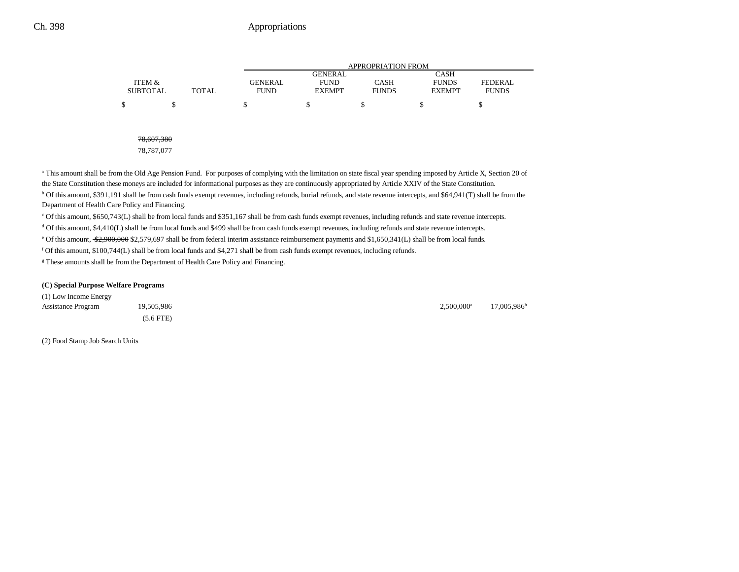|                 |              |                |                | <b>APPROPRIATION FROM</b> |               |                |  |
|-----------------|--------------|----------------|----------------|---------------------------|---------------|----------------|--|
|                 |              |                | <b>GENERAL</b> |                           | <b>CASH</b>   |                |  |
| ITEM &          |              | <b>GENERAL</b> | <b>FUND</b>    | <b>CASH</b>               | <b>FUNDS</b>  | <b>FEDERAL</b> |  |
| <b>SUBTOTAL</b> | <b>TOTAL</b> | <b>FUND</b>    | <b>EXEMPT</b>  | <b>FUNDS</b>              | <b>EXEMPT</b> | <b>FUNDS</b>   |  |
|                 |              |                |                |                           |               |                |  |

78,607,380

78,787,077

<sup>a</sup> This amount shall be from the Old Age Pension Fund. For purposes of complying with the limitation on state fiscal year spending imposed by Article X, Section 20 of the State Constitution these moneys are included for informational purposes as they are continuously appropriated by Article XXIV of the State Constitution. <sup>b</sup> Of this amount, \$391,191 shall be from cash funds exempt revenues, including refunds, burial refunds, and state revenue intercepts, and \$64,941(T) shall be from the Department of Health Care Policy and Financing.

c Of this amount, \$650,743(L) shall be from local funds and \$351,167 shall be from cash funds exempt revenues, including refunds and state revenue intercepts.

d Of this amount, \$4,410(L) shall be from local funds and \$499 shall be from cash funds exempt revenues, including refunds and state revenue intercepts.

<sup>e</sup> Of this amount, \$2,900,000 \$2,579,697 shall be from federal interim assistance reimbursement payments and \$1,650,341(L) shall be from local funds.

f Of this amount, \$100,744(L) shall be from local funds and \$4,271 shall be from cash funds exempt revenues, including refunds.

<sup>g</sup> These amounts shall be from the Department of Health Care Policy and Financing.

#### **(C) Special Purpose Welfare Programs**

(1) Low Income Energy Assistance Program 19,505,986 17,005,986 2,500,000<sup>a</sup> 17,005,986<sup>b</sup> (5.6 FTE)

(2) Food Stamp Job Search Units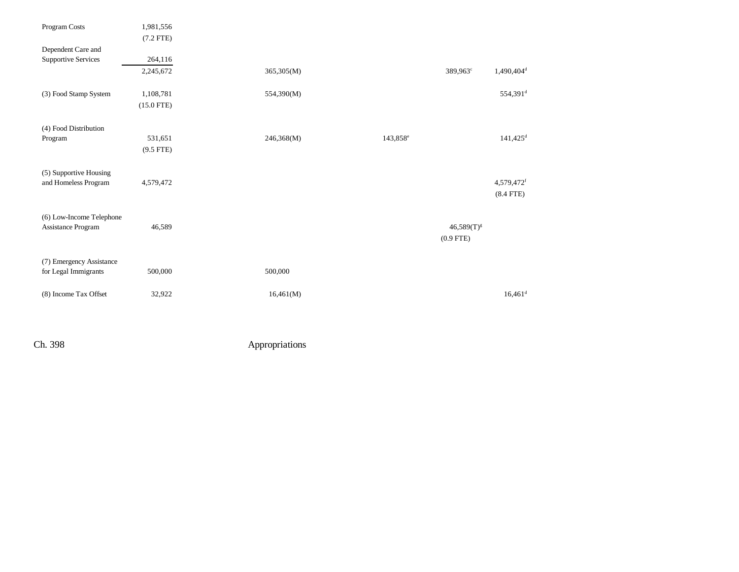| Program Costs                                  | 1,981,556    |            |                      |                 |                        |
|------------------------------------------------|--------------|------------|----------------------|-----------------|------------------------|
|                                                | $(7.2$ FTE)  |            |                      |                 |                        |
| Dependent Care and                             |              |            |                      |                 |                        |
| <b>Supportive Services</b>                     | 264,116      |            |                      |                 |                        |
|                                                | 2,245,672    | 365,305(M) |                      | 389,963°        | 1,490,404 <sup>d</sup> |
|                                                |              |            |                      |                 |                        |
| (3) Food Stamp System                          | 1,108,781    | 554,390(M) |                      |                 | 554,391 <sup>d</sup>   |
|                                                | $(15.0$ FTE) |            |                      |                 |                        |
|                                                |              |            |                      |                 |                        |
| (4) Food Distribution                          |              |            |                      |                 |                        |
| Program                                        | 531,651      | 246,368(M) | 143,858 <sup>e</sup> |                 | $141,425$ <sup>d</sup> |
|                                                | $(9.5$ FTE)  |            |                      |                 |                        |
|                                                |              |            |                      |                 |                        |
| (5) Supportive Housing                         |              |            |                      |                 |                        |
| and Homeless Program                           | 4,579,472    |            |                      |                 | 4,579,472f             |
|                                                |              |            |                      |                 | $(8.4$ FTE)            |
|                                                |              |            |                      |                 |                        |
| (6) Low-Income Telephone<br>Assistance Program | 46,589       |            |                      | $46,589(T)^{g}$ |                        |
|                                                |              |            |                      | $(0.9$ FTE)     |                        |
|                                                |              |            |                      |                 |                        |
| (7) Emergency Assistance                       |              |            |                      |                 |                        |
| for Legal Immigrants                           | 500,000      | 500,000    |                      |                 |                        |
|                                                |              |            |                      |                 |                        |
| (8) Income Tax Offset                          | 32,922       | 16,461(M)  |                      |                 | $16,461$ <sup>d</sup>  |
|                                                |              |            |                      |                 |                        |
|                                                |              |            |                      |                 |                        |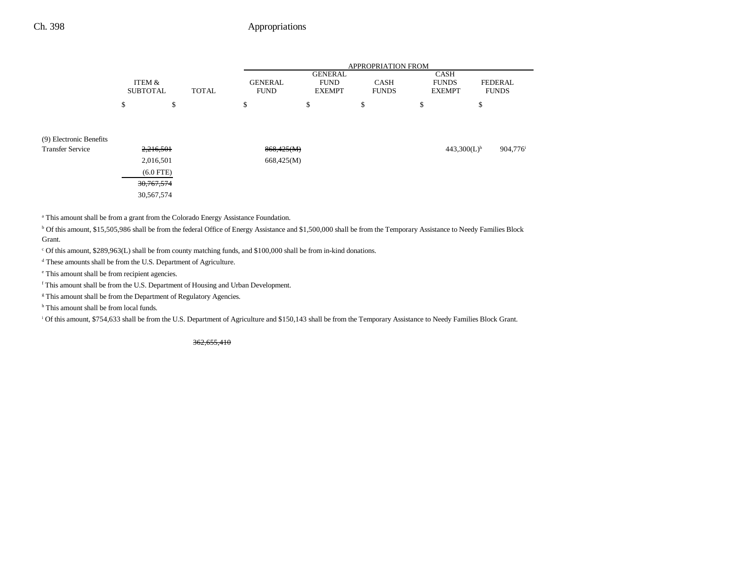|                                                    |                           |                                       |              |                               |                                                | <b>APPROPRIATION FROM</b>   |                                              |                                |
|----------------------------------------------------|---------------------------|---------------------------------------|--------------|-------------------------------|------------------------------------------------|-----------------------------|----------------------------------------------|--------------------------------|
|                                                    | ITEM &<br><b>SUBTOTAL</b> |                                       | <b>TOTAL</b> | <b>GENERAL</b><br><b>FUND</b> | <b>GENERAL</b><br><b>FUND</b><br><b>EXEMPT</b> | <b>CASH</b><br><b>FUNDS</b> | <b>CASH</b><br><b>FUNDS</b><br><b>EXEMPT</b> | <b>FEDERAL</b><br><b>FUNDS</b> |
|                                                    | \$                        | P                                     |              | \$                            | \$                                             | \$                          | \$                                           | \$                             |
| (9) Electronic Benefits<br><b>Transfer Service</b> |                           | 2,216,501<br>2,016,501<br>$(6.0$ FTE) |              | 868,425(M)<br>668,425(M)      |                                                |                             | $443,300(L)$ <sup>h</sup>                    | 904,776 <sup>i</sup>           |
|                                                    |                           | 30, 767, 574<br>30,567,574            |              |                               |                                                |                             |                                              |                                |

<sup>a</sup> This amount shall be from a grant from the Colorado Energy Assistance Foundation.

<sup>b</sup> Of this amount, \$15,505,986 shall be from the federal Office of Energy Assistance and \$1,500,000 shall be from the Temporary Assistance to Needy Families Block Grant.

c Of this amount, \$289,963(L) shall be from county matching funds, and \$100,000 shall be from in-kind donations.

d These amounts shall be from the U.S. Department of Agriculture.

e This amount shall be from recipient agencies.

f This amount shall be from the U.S. Department of Housing and Urban Development.

<sup>g</sup> This amount shall be from the Department of Regulatory Agencies.

<sup>h</sup> This amount shall be from local funds.

<sup>i</sup> Of this amount, \$754,633 shall be from the U.S. Department of Agriculture and \$150,143 shall be from the Temporary Assistance to Needy Families Block Grant.

362,655,410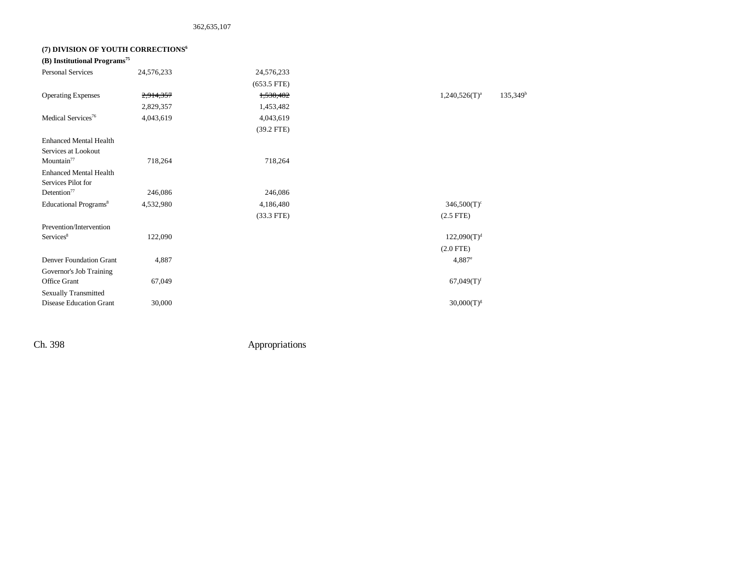### **(7) DIVISION OF YOUTH CORRECTIONS6**

| (B) Institutional Programs <sup>75</sup> |            |               |                                            |
|------------------------------------------|------------|---------------|--------------------------------------------|
| <b>Personal Services</b>                 | 24,576,233 | 24,576,233    |                                            |
|                                          |            | $(653.5$ FTE) |                                            |
| <b>Operating Expenses</b>                | 2,914,357  | 1,538,482     | $135,349$ <sup>t</sup><br>$1,240,526(T)^a$ |
|                                          | 2,829,357  | 1,453,482     |                                            |
| Medical Services <sup>76</sup>           | 4,043,619  | 4,043,619     |                                            |
|                                          |            | $(39.2$ FTE)  |                                            |
| <b>Enhanced Mental Health</b>            |            |               |                                            |
| Services at Lookout                      |            |               |                                            |
| Mountain <sup>77</sup>                   | 718,264    | 718,264       |                                            |
| <b>Enhanced Mental Health</b>            |            |               |                                            |
| Services Pilot for                       |            |               |                                            |
| Detention <sup>77</sup>                  | 246,086    | 246,086       |                                            |
| Educational Programs <sup>8</sup>        | 4,532,980  | 4,186,480     | $346,500(T)^c$                             |
|                                          |            | $(33.3$ FTE)  | $(2.5$ FTE)                                |
| Prevention/Intervention                  |            |               |                                            |
| Services <sup>8</sup>                    | 122,090    |               | $122,090(T)^{d}$                           |
|                                          |            |               | $(2.0$ FTE $)$                             |
| <b>Denver Foundation Grant</b>           | 4,887      |               | $4,887^e$                                  |
| Governor's Job Training                  |            |               |                                            |
| Office Grant                             | 67,049     |               | $67,049(T)$ <sup>f</sup>                   |
| <b>Sexually Transmitted</b>              |            |               |                                            |
| <b>Disease Education Grant</b>           | 30,000     |               | $30,000(T)^{g}$                            |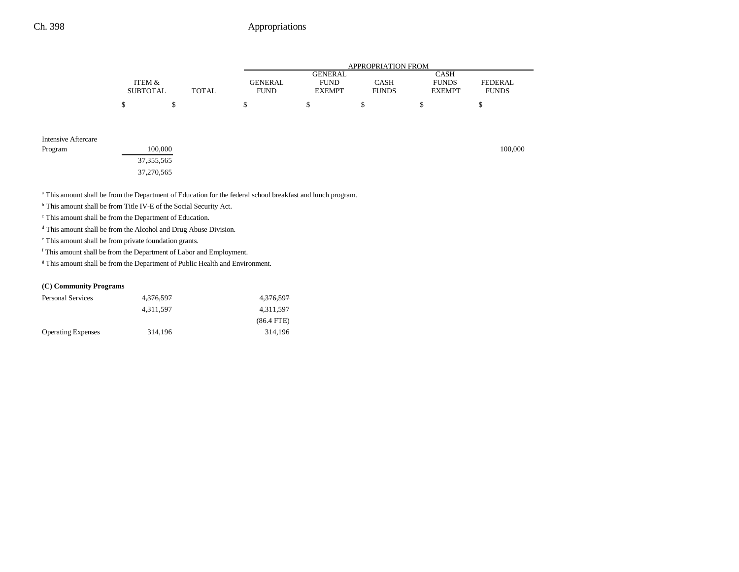|                     |                           |   |              |                               |                                                | <b>APPROPRIATION FROM</b>   |                                              |                         |
|---------------------|---------------------------|---|--------------|-------------------------------|------------------------------------------------|-----------------------------|----------------------------------------------|-------------------------|
|                     | ITEM &<br><b>SUBTOTAL</b> |   | <b>TOTAL</b> | <b>GENERAL</b><br><b>FUND</b> | <b>GENERAL</b><br><b>FUND</b><br><b>EXEMPT</b> | <b>CASH</b><br><b>FUNDS</b> | <b>CASH</b><br><b>FUNDS</b><br><b>EXEMPT</b> | FEDERAL<br><b>FUNDS</b> |
|                     | S                         | S |              | S                             | <sup>\$</sup>                                  | S                           | S                                            | ъ                       |
| Intensive Aftercare |                           |   |              |                               |                                                |                             |                                              |                         |

| Program | 100,000               | 100,000 |
|---------|-----------------------|---------|
|         | <del>37,355,565</del> |         |
|         | 37,270,565            |         |

<sup>a</sup> This amount shall be from the Department of Education for the federal school breakfast and lunch program.

b This amount shall be from Title IV-E of the Social Security Act.

c This amount shall be from the Department of Education.

d This amount shall be from the Alcohol and Drug Abuse Division.

e This amount shall be from private foundation grants.

 $^{\rm f}$  This amount shall be from the Department of Labor and Employment.

<sup>g</sup> This amount shall be from the Department of Public Health and Environment.

### **(C) Community Programs**

| <b>Personal Services</b>  | <del>4,376,597</del> | 4,376,597    |
|---------------------------|----------------------|--------------|
|                           | 4.311.597            | 4.311.597    |
|                           |                      | $(86.4$ FTE) |
| <b>Operating Expenses</b> | 314.196              | 314.196      |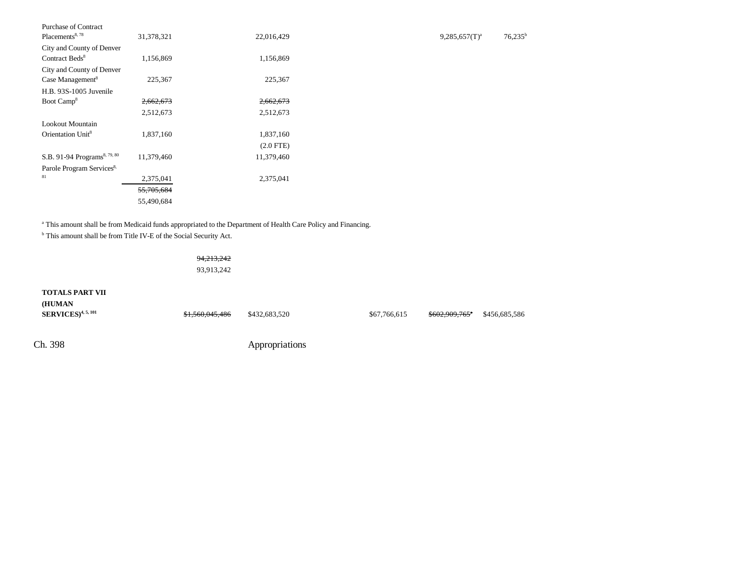| Purchase of Contract                     |            |             |                  |                  |
|------------------------------------------|------------|-------------|------------------|------------------|
| Placements <sup>8, 78</sup>              | 31,378,321 | 22,016,429  | $9,285,657(T)^a$ | $76,235^{\rm t}$ |
| City and County of Denver                |            |             |                  |                  |
| Contract Beds <sup>8</sup>               | 1,156,869  | 1,156,869   |                  |                  |
| City and County of Denver                |            |             |                  |                  |
| Case Management <sup>8</sup>             | 225,367    | 225,367     |                  |                  |
| H.B. 93S-1005 Juvenile                   |            |             |                  |                  |
| Boot Camp <sup>8</sup>                   | 2,662,673  | 2,662,673   |                  |                  |
|                                          | 2,512,673  | 2,512,673   |                  |                  |
| Lookout Mountain                         |            |             |                  |                  |
| Orientation Unit <sup>8</sup>            | 1,837,160  | 1,837,160   |                  |                  |
|                                          |            | $(2.0$ FTE) |                  |                  |
| S.B. 91-94 Programs <sup>8, 79, 80</sup> | 11,379,460 | 11,379,460  |                  |                  |
| Parole Program Services <sup>8,</sup>    |            |             |                  |                  |
| 81                                       | 2,375,041  | 2,375,041   |                  |                  |
|                                          | 55,705,684 |             |                  |                  |
|                                          | 55,490,684 |             |                  |                  |
|                                          |            |             |                  |                  |

<sup>a</sup> This amount shall be from Medicaid funds appropriated to the Department of Health Care Policy and Financing.

b This amount shall be from Title IV-E of the Social Security Act.

### 94,213,242

93,913,242

| <b>TOTALS PART VII</b><br>(HUMAN<br>$SERVICES$ <sup>4, 5, 101</sup> | \$1,560,045,486 | \$432,683,520  | \$67,766,615 | $$602,909,765$ <sup>*</sup> | \$456,685,586 |
|---------------------------------------------------------------------|-----------------|----------------|--------------|-----------------------------|---------------|
| Ch. 398                                                             |                 | Appropriations |              |                             |               |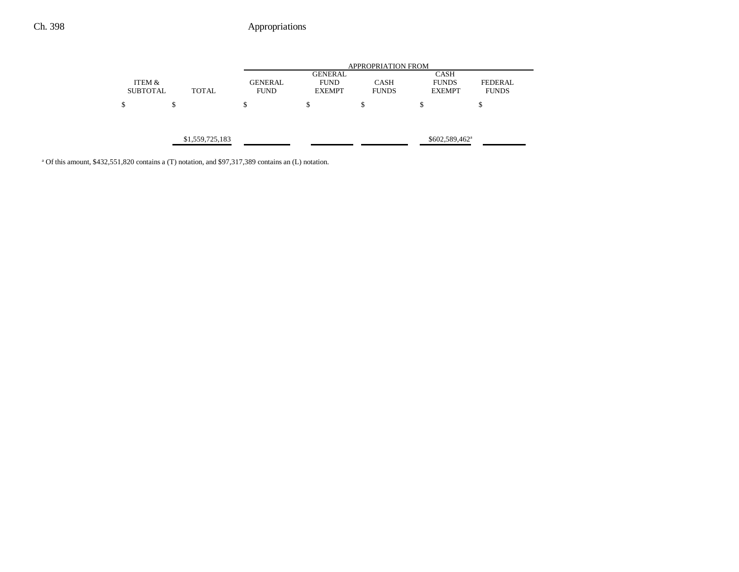|                                            |       |                | <b>APPROPRIATION FROM</b>     |              |                             |                |  |
|--------------------------------------------|-------|----------------|-------------------------------|--------------|-----------------------------|----------------|--|
| ITEM &                                     |       | <b>GENERAL</b> | <b>GENERAL</b><br><b>FUND</b> | <b>CASH</b>  | <b>CASH</b><br><b>FUNDS</b> | <b>FEDERAL</b> |  |
| <b>SUBTOTAL</b>                            | TOTAL | <b>FUND</b>    | <b>EXEMPT</b>                 | <b>FUNDS</b> | <b>EXEMPT</b>               | <b>FUNDS</b>   |  |
| \$                                         | S     | Φ              | \$                            | \$           | \$                          | \$             |  |
|                                            |       |                |                               |              |                             |                |  |
| \$1,559,725,183<br>$$602,589,462^{\circ}$$ |       |                |                               |              |                             |                |  |
|                                            |       |                |                               |              |                             |                |  |

<sup>a</sup> Of this amount, \$432,551,820 contains a (T) notation, and \$97,317,389 contains an (L) notation.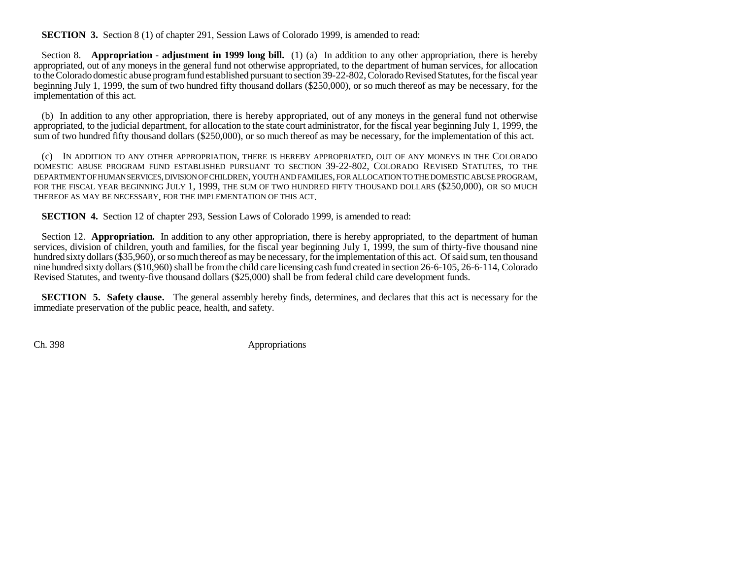## **SECTION 3.** Section 8 (1) of chapter 291, Session Laws of Colorado 1999, is amended to read:

Section 8. **Appropriation - adjustment in 1999 long bill.** (1) (a) In addition to any other appropriation, there is hereby appropriated, out of any moneys in the general fund not otherwise appropriated, to the department of human services, for allocation to the Colorado domestic abuse program fund established pursuant to section 39-22-802, Colorado Revised Statutes, for the fiscal year beginning July 1, 1999, the sum of two hundred fifty thousand dollars (\$250,000), or so much thereof as may be necessary, for the implementation of this act.

(b) In addition to any other appropriation, there is hereby appropriated, out of any moneys in the general fund not otherwise appropriated, to the judicial department, for allocation to the state court administrator, for the fiscal year beginning July 1, 1999, the sum of two hundred fifty thousand dollars (\$250,000), or so much thereof as may be necessary, for the implementation of this act.

(c) IN ADDITION TO ANY OTHER APPROPRIATION, THERE IS HEREBY APPROPRIATED, OUT OF ANY MONEYS IN THE COLORADO DOMESTIC ABUSE PROGRAM FUND ESTABLISHED PURSUANT TO SECTION 39-22-802, COLORADO REVISED STATUTES, TO THE DEPARTMENT OF HUMAN SERVICES, DIVISION OF CHILDREN, YOUTH AND FAMILIES, FOR ALLOCATION TO THE DOMESTIC ABUSE PROGRAM, FOR THE FISCAL YEAR BEGINNING JULY 1, 1999, THE SUM OF TWO HUNDRED FIFTY THOUSAND DOLLARS (\$250,000), OR SO MUCH THEREOF AS MAY BE NECESSARY, FOR THE IMPLEMENTATION OF THIS ACT.

**SECTION 4.** Section 12 of chapter 293, Session Laws of Colorado 1999, is amended to read:

Section 12. **Appropriation.** In addition to any other appropriation, there is hereby appropriated, to the department of human services, division of children, youth and families, for the fiscal year beginning July 1, 1999, the sum of thirty-five thousand nine hundred sixty dollars (\$35,960), or so much thereof as may be necessary, for the implementation of this act. Of said sum, ten thousand nine hundred sixty dollars (\$10,960) shall be from the child care licensing cash fund created in section 26-6-105, 26-6-114, Colorado Revised Statutes, and twenty-five thousand dollars (\$25,000) shall be from federal child care development funds.

**SECTION 5. Safety clause.** The general assembly hereby finds, determines, and declares that this act is necessary for the immediate preservation of the public peace, health, and safety.